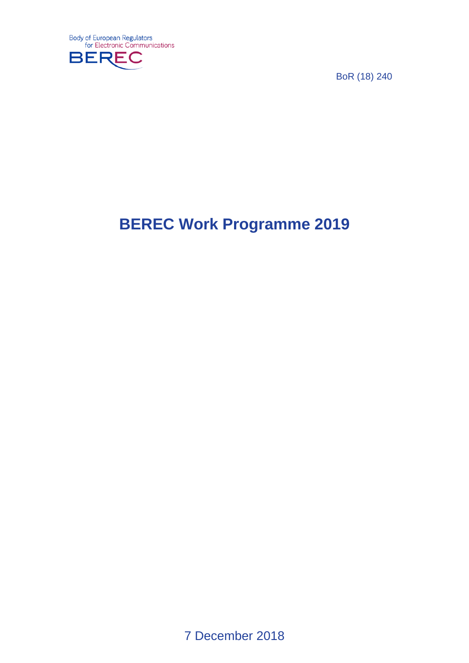

BoR (18) 240

# **BEREC Work Programme 2019**

7 December 2018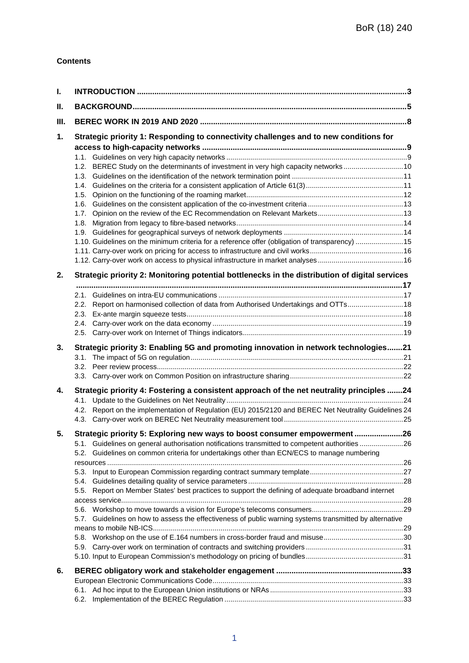#### **Contents**

| I.   |                                                                                                            |  |
|------|------------------------------------------------------------------------------------------------------------|--|
| Ш.   |                                                                                                            |  |
| III. |                                                                                                            |  |
| 1.   | Strategic priority 1: Responding to connectivity challenges and to new conditions for                      |  |
|      | 1.2. BEREC Study on the determinants of investment in very high capacity networks 10                       |  |
|      |                                                                                                            |  |
|      | 1.5.                                                                                                       |  |
|      |                                                                                                            |  |
|      | 1.7.                                                                                                       |  |
|      | 1.8.                                                                                                       |  |
|      |                                                                                                            |  |
|      | 1.10. Guidelines on the minimum criteria for a reference offer (obligation of transparency)  15            |  |
|      |                                                                                                            |  |
|      |                                                                                                            |  |
| 2.   | Strategic priority 2: Monitoring potential bottlenecks in the distribution of digital services             |  |
|      |                                                                                                            |  |
|      | 2.2. Report on harmonised collection of data from Authorised Undertakings and OTTs 18                      |  |
|      | 2.3.                                                                                                       |  |
|      |                                                                                                            |  |
|      |                                                                                                            |  |
| 3.   | Strategic priority 3: Enabling 5G and promoting innovation in network technologies21                       |  |
|      |                                                                                                            |  |
| 4.   | Strategic priority 4: Fostering a consistent approach of the net neutrality principles 24                  |  |
|      |                                                                                                            |  |
|      | 4.2. Report on the implementation of Regulation (EU) 2015/2120 and BEREC Net Neutrality Guidelines 24      |  |
|      |                                                                                                            |  |
| 5.   | Strategic priority 5: Exploring new ways to boost consumer empowerment26                                   |  |
|      | 5.1. Guidelines on general authorisation notifications transmitted to competent authorities26              |  |
|      | Guidelines on common criteria for undertakings other than ECN/ECS to manage numbering<br>5.2.              |  |
|      |                                                                                                            |  |
|      | 5.4.                                                                                                       |  |
|      | 5.5. Report on Member States' best practices to support the defining of adequate broadband internet        |  |
|      |                                                                                                            |  |
|      |                                                                                                            |  |
|      | Guidelines on how to assess the effectiveness of public warning systems transmitted by alternative<br>5.7. |  |
|      |                                                                                                            |  |
|      |                                                                                                            |  |
|      |                                                                                                            |  |
|      |                                                                                                            |  |
| 6.   |                                                                                                            |  |
|      |                                                                                                            |  |
|      |                                                                                                            |  |
|      |                                                                                                            |  |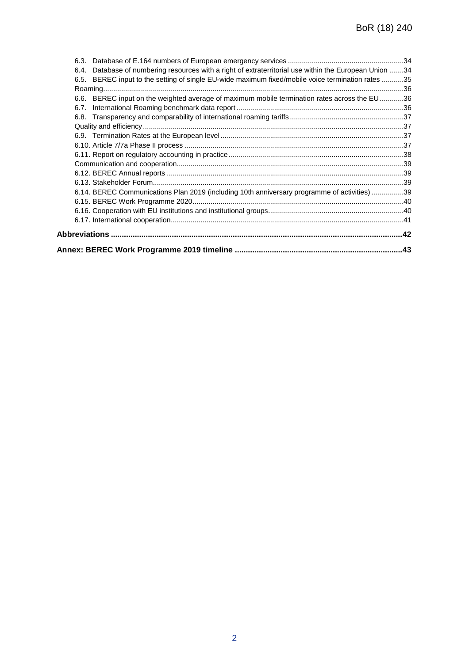| 6.3.                                                                                                      |  |
|-----------------------------------------------------------------------------------------------------------|--|
| Database of numbering resources with a right of extraterritorial use within the European Union 34<br>6.4. |  |
| BEREC input to the setting of single EU-wide maximum fixed/mobile voice termination rates 35<br>6.5.      |  |
|                                                                                                           |  |
| 6.6. BEREC input on the weighted average of maximum mobile termination rates across the EU36              |  |
| 6.7.                                                                                                      |  |
|                                                                                                           |  |
|                                                                                                           |  |
|                                                                                                           |  |
|                                                                                                           |  |
|                                                                                                           |  |
|                                                                                                           |  |
|                                                                                                           |  |
|                                                                                                           |  |
| 6.14. BEREC Communications Plan 2019 (including 10th anniversary programme of activities) 39              |  |
|                                                                                                           |  |
|                                                                                                           |  |
|                                                                                                           |  |
|                                                                                                           |  |
|                                                                                                           |  |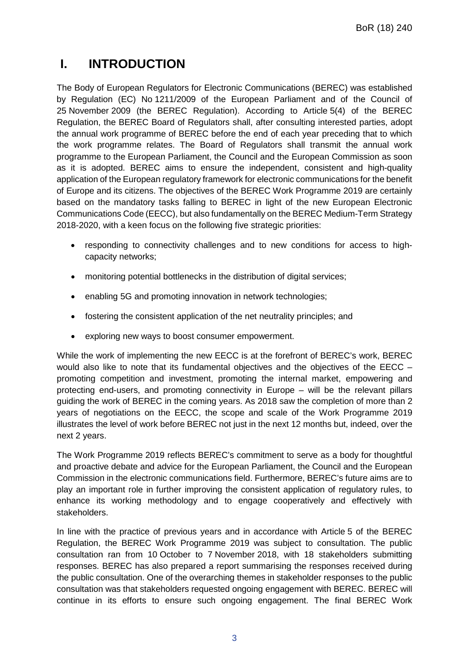## **I. INTRODUCTION**

The Body of European Regulators for Electronic Communications (BEREC) was established by Regulation (EC) No 1211/2009 of the European Parliament and of the Council of 25 November 2009 (the BEREC Regulation). According to Article 5(4) of the BEREC Regulation, the BEREC Board of Regulators shall, after consulting interested parties, adopt the annual work programme of BEREC before the end of each year preceding that to which the work programme relates. The Board of Regulators shall transmit the annual work programme to the European Parliament, the Council and the European Commission as soon as it is adopted. BEREC aims to ensure the independent, consistent and high-quality application of the European regulatory framework for electronic communications for the benefit of Europe and its citizens. The objectives of the BEREC Work Programme 2019 are certainly based on the mandatory tasks falling to BEREC in light of the new European Electronic Communications Code (EECC), but also fundamentally on the BEREC Medium-Term Strategy 2018-2020, with a keen focus on the following five strategic priorities:

- responding to connectivity challenges and to new conditions for access to highcapacity networks;
- monitoring potential bottlenecks in the distribution of digital services;
- enabling 5G and promoting innovation in network technologies;
- fostering the consistent application of the net neutrality principles; and
- exploring new ways to boost consumer empowerment.

While the work of implementing the new EECC is at the forefront of BEREC's work, BEREC would also like to note that its fundamental objectives and the objectives of the EECC – promoting competition and investment, promoting the internal market, empowering and protecting end-users, and promoting connectivity in Europe – will be the relevant pillars guiding the work of BEREC in the coming years. As 2018 saw the completion of more than 2 years of negotiations on the EECC, the scope and scale of the Work Programme 2019 illustrates the level of work before BEREC not just in the next 12 months but, indeed, over the next 2 years.

The Work Programme 2019 reflects BEREC's commitment to serve as a body for thoughtful and proactive debate and advice for the European Parliament, the Council and the European Commission in the electronic communications field. Furthermore, BEREC's future aims are to play an important role in further improving the consistent application of regulatory rules, to enhance its working methodology and to engage cooperatively and effectively with stakeholders.

In line with the practice of previous years and in accordance with Article 5 of the BEREC Regulation, the BEREC Work Programme 2019 was subject to consultation. The public consultation ran from 10 October to 7 November 2018, with 18 stakeholders submitting responses. BEREC has also prepared a report summarising the responses received during the public consultation. One of the overarching themes in stakeholder responses to the public consultation was that stakeholders requested ongoing engagement with BEREC. BEREC will continue in its efforts to ensure such ongoing engagement. The final BEREC Work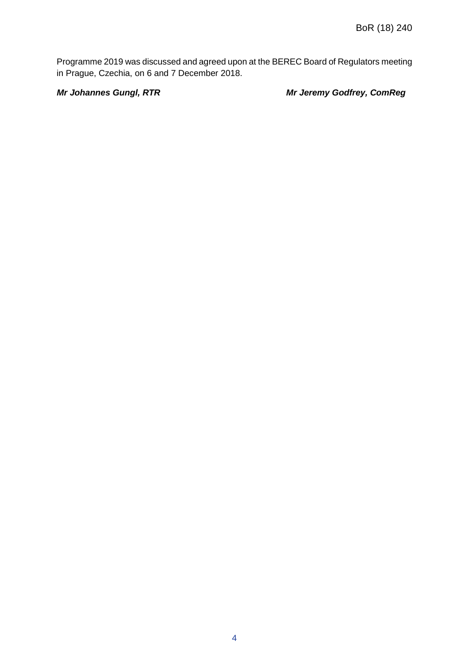Programme 2019 was discussed and agreed upon at the BEREC Board of Regulators meeting in Prague, Czechia, on 6 and 7 December 2018.

*Mr Johannes Gungl, RTR Mr Jeremy Godfrey, ComReg*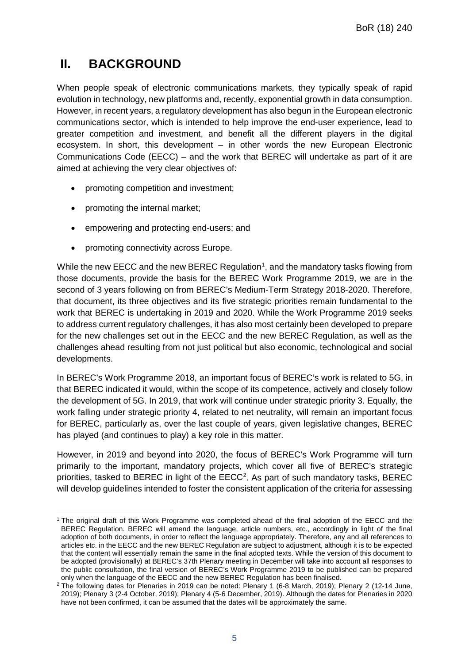# **II. BACKGROUND**

When people speak of electronic communications markets, they typically speak of rapid evolution in technology, new platforms and, recently, exponential growth in data consumption. However, in recent years, a regulatory development has also begun in the European electronic communications sector, which is intended to help improve the end-user experience, lead to greater competition and investment, and benefit all the different players in the digital ecosystem. In short, this development – in other words the new European Electronic Communications Code (EECC) – and the work that BEREC will undertake as part of it are aimed at achieving the very clear objectives of:

- promoting competition and investment;
- promoting the internal market;
- empowering and protecting end-users; and
- promoting connectivity across Europe.

While the new EECC and the new BEREC Regulation<sup>[1](#page-5-0)</sup>, and the mandatory tasks flowing from those documents, provide the basis for the BEREC Work Programme 2019, we are in the second of 3 years following on from BEREC's Medium-Term Strategy 2018-2020. Therefore, that document, its three objectives and its five strategic priorities remain fundamental to the work that BEREC is undertaking in 2019 and 2020. While the Work Programme 2019 seeks to address current regulatory challenges, it has also most certainly been developed to prepare for the new challenges set out in the EECC and the new BEREC Regulation, as well as the challenges ahead resulting from not just political but also economic, technological and social developments.

In BEREC's Work Programme 2018, an important focus of BEREC's work is related to 5G, in that BEREC indicated it would, within the scope of its competence, actively and closely follow the development of 5G. In 2019, that work will continue under strategic priority 3. Equally, the work falling under strategic priority 4, related to net neutrality, will remain an important focus for BEREC, particularly as, over the last couple of years, given legislative changes, BEREC has played (and continues to play) a key role in this matter.

However, in 2019 and beyond into 2020, the focus of BEREC's Work Programme will turn primarily to the important, mandatory projects, which cover all five of BEREC's strategic priorities, tasked to BEREC in light of the EECC<sup>[2](#page-5-1)</sup>. As part of such mandatory tasks, BEREC will develop guidelines intended to foster the consistent application of the criteria for assessing

<span id="page-5-0"></span> $\overline{a}$ <sup>1</sup> The original draft of this Work Programme was completed ahead of the final adoption of the EECC and the BEREC Regulation. BEREC will amend the language, article numbers, etc., accordingly in light of the final adoption of both documents, in order to reflect the language appropriately. Therefore, any and all references to articles etc. in the EECC and the new BEREC Regulation are subject to adjustment, although it is to be expected that the content will essentially remain the same in the final adopted texts. While the version of this document to be adopted (provisionally) at BEREC's 37th Plenary meeting in December will take into account all responses to the public consultation, the final version of BEREC's Work Programme 2019 to be published can be prepared only when the language of the EECC and the new BEREC Regulation has been finalised.

<span id="page-5-1"></span><sup>2</sup> The following dates for Plenaries in 2019 can be noted: Plenary 1 (6-8 March, 2019); Plenary 2 (12-14 June, 2019); Plenary 3 (2-4 October, 2019); Plenary 4 (5-6 December, 2019). Although the dates for Plenaries in 2020 have not been confirmed, it can be assumed that the dates will be approximately the same.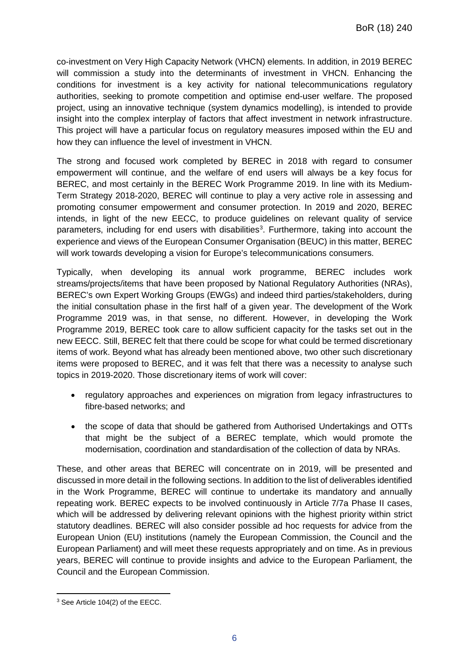co-investment on Very High Capacity Network (VHCN) elements. In addition, in 2019 BEREC will commission a study into the determinants of investment in VHCN. Enhancing the conditions for investment is a key activity for national telecommunications regulatory authorities, seeking to promote competition and optimise end-user welfare. The proposed project, using an innovative technique (system dynamics modelling), is intended to provide insight into the complex interplay of factors that affect investment in network infrastructure. This project will have a particular focus on regulatory measures imposed within the EU and how they can influence the level of investment in VHCN.

The strong and focused work completed by BEREC in 2018 with regard to consumer empowerment will continue, and the welfare of end users will always be a key focus for BEREC, and most certainly in the BEREC Work Programme 2019. In line with its Medium-Term Strategy 2018-2020, BEREC will continue to play a very active role in assessing and promoting consumer empowerment and consumer protection. In 2019 and 2020, BEREC intends, in light of the new EECC, to produce guidelines on relevant quality of service parameters, including for end users with disabilities<sup>[3](#page-6-0)</sup>. Furthermore, taking into account the experience and views of the European Consumer Organisation (BEUC) in this matter, BEREC will work towards developing a vision for Europe's telecommunications consumers.

Typically, when developing its annual work programme, BEREC includes work streams/projects/items that have been proposed by National Regulatory Authorities (NRAs), BEREC's own Expert Working Groups (EWGs) and indeed third parties/stakeholders, during the initial consultation phase in the first half of a given year. The development of the Work Programme 2019 was, in that sense, no different. However, in developing the Work Programme 2019, BEREC took care to allow sufficient capacity for the tasks set out in the new EECC. Still, BEREC felt that there could be scope for what could be termed discretionary items of work. Beyond what has already been mentioned above, two other such discretionary items were proposed to BEREC, and it was felt that there was a necessity to analyse such topics in 2019-2020. Those discretionary items of work will cover:

- regulatory approaches and experiences on migration from legacy infrastructures to fibre-based networks; and
- the scope of data that should be gathered from Authorised Undertakings and OTTs that might be the subject of a BEREC template, which would promote the modernisation, coordination and standardisation of the collection of data by NRAs.

These, and other areas that BEREC will concentrate on in 2019, will be presented and discussed in more detail in the following sections. In addition to the list of deliverables identified in the Work Programme, BEREC will continue to undertake its mandatory and annually repeating work. BEREC expects to be involved continuously in Article 7/7a Phase II cases, which will be addressed by delivering relevant opinions with the highest priority within strict statutory deadlines. BEREC will also consider possible ad hoc requests for advice from the European Union (EU) institutions (namely the European Commission, the Council and the European Parliament) and will meet these requests appropriately and on time. As in previous years, BEREC will continue to provide insights and advice to the European Parliament, the Council and the European Commission.

<span id="page-6-0"></span> $\overline{a}$ <sup>3</sup> See Article 104(2) of the EECC.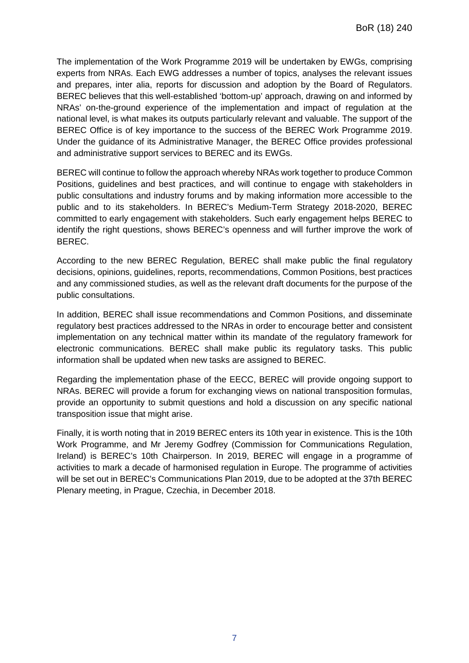The implementation of the Work Programme 2019 will be undertaken by EWGs, comprising experts from NRAs. Each EWG addresses a number of topics, analyses the relevant issues and prepares, inter alia, reports for discussion and adoption by the Board of Regulators. BEREC believes that this well-established 'bottom-up' approach, drawing on and informed by NRAs' on-the-ground experience of the implementation and impact of regulation at the national level, is what makes its outputs particularly relevant and valuable. The support of the BEREC Office is of key importance to the success of the BEREC Work Programme 2019. Under the guidance of its Administrative Manager, the BEREC Office provides professional and administrative support services to BEREC and its EWGs.

BEREC will continue to follow the approach whereby NRAs work together to produce Common Positions, guidelines and best practices, and will continue to engage with stakeholders in public consultations and industry forums and by making information more accessible to the public and to its stakeholders. In BEREC's Medium-Term Strategy 2018-2020, BEREC committed to early engagement with stakeholders. Such early engagement helps BEREC to identify the right questions, shows BEREC's openness and will further improve the work of BEREC.

According to the new BEREC Regulation, BEREC shall make public the final regulatory decisions, opinions, guidelines, reports, recommendations, Common Positions, best practices and any commissioned studies, as well as the relevant draft documents for the purpose of the public consultations.

In addition, BEREC shall issue recommendations and Common Positions, and disseminate regulatory best practices addressed to the NRAs in order to encourage better and consistent implementation on any technical matter within its mandate of the regulatory framework for electronic communications. BEREC shall make public its regulatory tasks. This public information shall be updated when new tasks are assigned to BEREC.

Regarding the implementation phase of the EECC, BEREC will provide ongoing support to NRAs. BEREC will provide a forum for exchanging views on national transposition formulas, provide an opportunity to submit questions and hold a discussion on any specific national transposition issue that might arise.

Finally, it is worth noting that in 2019 BEREC enters its 10th year in existence. This is the 10th Work Programme, and Mr Jeremy Godfrey (Commission for Communications Regulation, Ireland) is BEREC's 10th Chairperson. In 2019, BEREC will engage in a programme of activities to mark a decade of harmonised regulation in Europe. The programme of activities will be set out in BEREC's Communications Plan 2019, due to be adopted at the 37th BEREC Plenary meeting, in Prague, Czechia, in December 2018.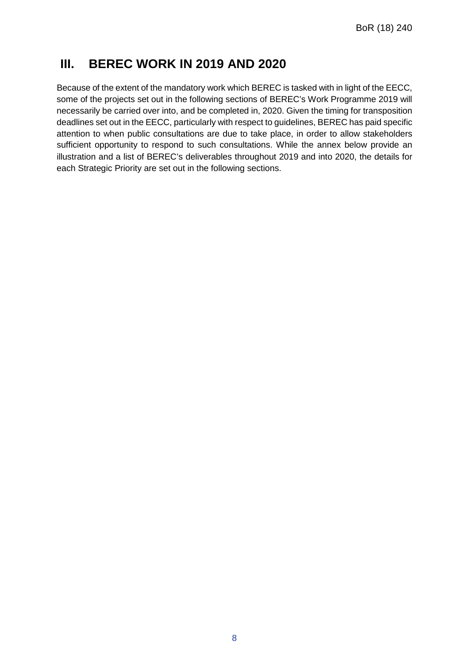## **III. BEREC WORK IN 2019 AND 2020**

Because of the extent of the mandatory work which BEREC is tasked with in light of the EECC, some of the projects set out in the following sections of BEREC's Work Programme 2019 will necessarily be carried over into, and be completed in, 2020. Given the timing for transposition deadlines set out in the EECC, particularly with respect to guidelines, BEREC has paid specific attention to when public consultations are due to take place, in order to allow stakeholders sufficient opportunity to respond to such consultations. While the annex below provide an illustration and a list of BEREC's deliverables throughout 2019 and into 2020, the details for each Strategic Priority are set out in the following sections.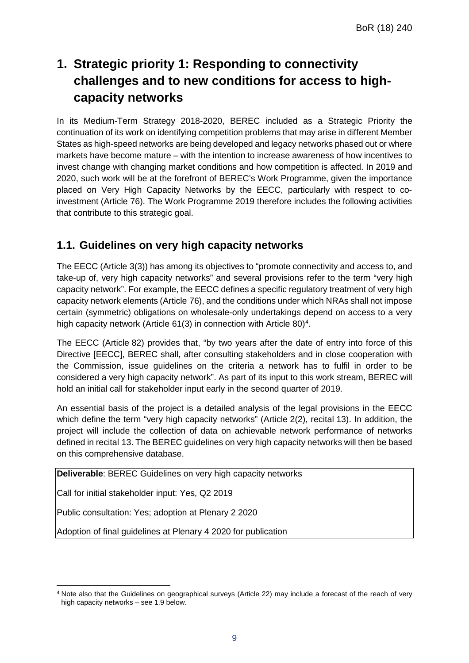# **1. Strategic priority 1: Responding to connectivity challenges and to new conditions for access to highcapacity networks**

In its Medium-Term Strategy 2018-2020, BEREC included as a Strategic Priority the continuation of its work on identifying competition problems that may arise in different Member States as high-speed networks are being developed and legacy networks phased out or where markets have become mature – with the intention to increase awareness of how incentives to invest change with changing market conditions and how competition is affected. In 2019 and 2020, such work will be at the forefront of BEREC's Work Programme, given the importance placed on Very High Capacity Networks by the EECC, particularly with respect to coinvestment (Article 76). The Work Programme 2019 therefore includes the following activities that contribute to this strategic goal.

## **1.1. Guidelines on very high capacity networks**

The EECC (Article 3(3)) has among its objectives to "promote connectivity and access to, and take-up of, very high capacity networks" and several provisions refer to the term "very high capacity network". For example, the EECC defines a specific regulatory treatment of very high capacity network elements (Article 76), and the conditions under which NRAs shall not impose certain (symmetric) obligations on wholesale-only undertakings depend on access to a very high capacity network (Article 61(3) in connection with Article 80) $^4$ .

The EECC (Article 82) provides that, "by two years after the date of entry into force of this Directive [EECC], BEREC shall, after consulting stakeholders and in close cooperation with the Commission, issue guidelines on the criteria a network has to fulfil in order to be considered a very high capacity network". As part of its input to this work stream, BEREC will hold an initial call for stakeholder input early in the second quarter of 2019.

An essential basis of the project is a detailed analysis of the legal provisions in the EECC which define the term "very high capacity networks" (Article 2(2), recital 13). In addition, the project will include the collection of data on achievable network performance of networks defined in recital 13. The BEREC guidelines on very high capacity networks will then be based on this comprehensive database.

**Deliverable**: BEREC Guidelines on very high capacity networks

Call for initial stakeholder input: Yes, Q2 2019

Public consultation: Yes; adoption at Plenary 2 2020

Adoption of final guidelines at Plenary 4 2020 for publication

<span id="page-9-0"></span> $\overline{a}$ <sup>4</sup> Note also that the Guidelines on geographical surveys (Article 22) may include a forecast of the reach of very high capacity networks – see 1.9 below.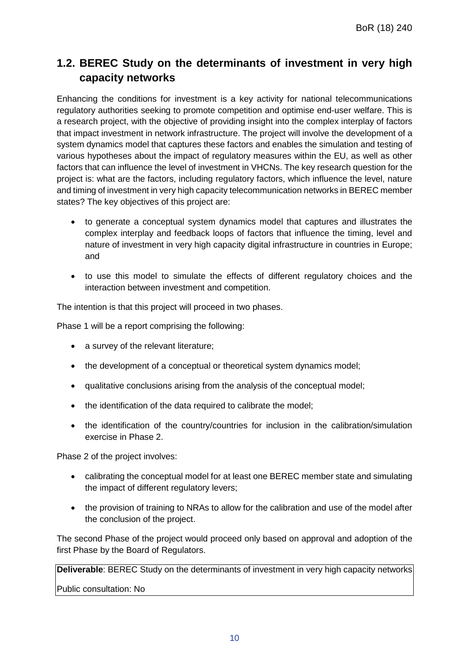## **1.2. BEREC Study on the determinants of investment in very high capacity networks**

Enhancing the conditions for investment is a key activity for national telecommunications regulatory authorities seeking to promote competition and optimise end-user welfare. This is a research project, with the objective of providing insight into the complex interplay of factors that impact investment in network infrastructure. The project will involve the development of a system dynamics model that captures these factors and enables the simulation and testing of various hypotheses about the impact of regulatory measures within the EU, as well as other factors that can influence the level of investment in VHCNs. The key research question for the project is: what are the factors, including regulatory factors, which influence the level, nature and timing of investment in very high capacity telecommunication networks in BEREC member states? The key objectives of this project are:

- to generate a conceptual system dynamics model that captures and illustrates the complex interplay and feedback loops of factors that influence the timing, level and nature of investment in very high capacity digital infrastructure in countries in Europe; and
- to use this model to simulate the effects of different regulatory choices and the interaction between investment and competition.

The intention is that this project will proceed in two phases.

Phase 1 will be a report comprising the following:

- a survey of the relevant literature;
- the development of a conceptual or theoretical system dynamics model;
- qualitative conclusions arising from the analysis of the conceptual model;
- the identification of the data required to calibrate the model;
- the identification of the country/countries for inclusion in the calibration/simulation exercise in Phase 2.

Phase 2 of the project involves:

- calibrating the conceptual model for at least one BEREC member state and simulating the impact of different regulatory levers;
- the provision of training to NRAs to allow for the calibration and use of the model after the conclusion of the project.

The second Phase of the project would proceed only based on approval and adoption of the first Phase by the Board of Regulators.

**Deliverable**: BEREC Study on the determinants of investment in very high capacity networks

Public consultation: No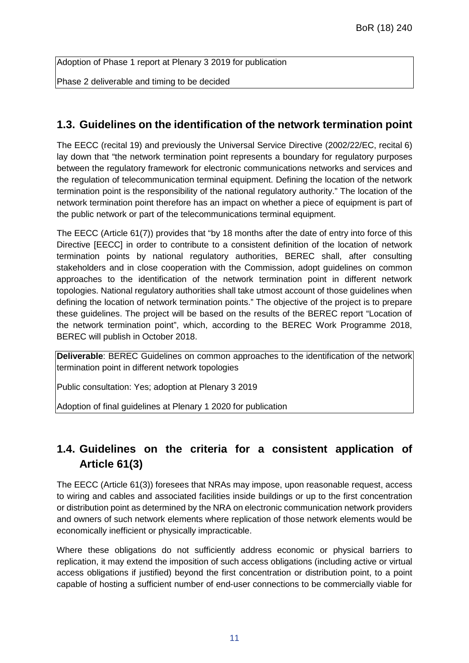Adoption of Phase 1 report at Plenary 3 2019 for publication

Phase 2 deliverable and timing to be decided

#### **1.3. Guidelines on the identification of the network termination point**

The EECC (recital 19) and previously the Universal Service Directive (2002/22/EC, recital 6) lay down that "the network termination point represents a boundary for regulatory purposes between the regulatory framework for electronic communications networks and services and the regulation of telecommunication terminal equipment. Defining the location of the network termination point is the responsibility of the national regulatory authority." The location of the network termination point therefore has an impact on whether a piece of equipment is part of the public network or part of the telecommunications terminal equipment.

The EECC (Article 61(7)) provides that "by 18 months after the date of entry into force of this Directive [EECC] in order to contribute to a consistent definition of the location of network termination points by national regulatory authorities, BEREC shall, after consulting stakeholders and in close cooperation with the Commission, adopt guidelines on common approaches to the identification of the network termination point in different network topologies. National regulatory authorities shall take utmost account of those guidelines when defining the location of network termination points." The objective of the project is to prepare these guidelines. The project will be based on the results of the BEREC report "Location of the network termination point", which, according to the BEREC Work Programme 2018, BEREC will publish in October 2018.

**Deliverable**: BEREC Guidelines on common approaches to the identification of the network termination point in different network topologies

Public consultation: Yes; adoption at Plenary 3 2019

Adoption of final guidelines at Plenary 1 2020 for publication

## **1.4. Guidelines on the criteria for a consistent application of Article 61(3)**

The EECC (Article 61(3)) foresees that NRAs may impose, upon reasonable request, access to wiring and cables and associated facilities inside buildings or up to the first concentration or distribution point as determined by the NRA on electronic communication network providers and owners of such network elements where replication of those network elements would be economically inefficient or physically impracticable.

Where these obligations do not sufficiently address economic or physical barriers to replication, it may extend the imposition of such access obligations (including active or virtual access obligations if justified) beyond the first concentration or distribution point, to a point capable of hosting a sufficient number of end-user connections to be commercially viable for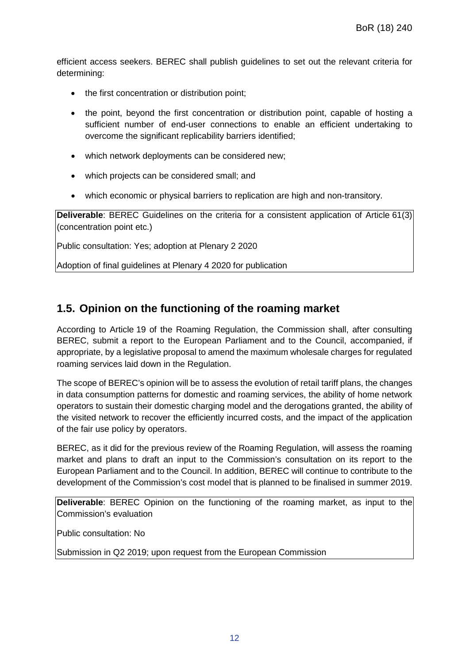efficient access seekers. BEREC shall publish guidelines to set out the relevant criteria for determining:

- the first concentration or distribution point;
- the point, beyond the first concentration or distribution point, capable of hosting a sufficient number of end-user connections to enable an efficient undertaking to overcome the significant replicability barriers identified;
- which network deployments can be considered new;
- which projects can be considered small; and
- which economic or physical barriers to replication are high and non-transitory.

**Deliverable**: BEREC Guidelines on the criteria for a consistent application of Article 61(3) (concentration point etc.)

Public consultation: Yes; adoption at Plenary 2 2020

Adoption of final guidelines at Plenary 4 2020 for publication

#### **1.5. Opinion on the functioning of the roaming market**

According to Article 19 of the Roaming Regulation, the Commission shall, after consulting BEREC, submit a report to the European Parliament and to the Council, accompanied, if appropriate, by a legislative proposal to amend the maximum wholesale charges for regulated roaming services laid down in the Regulation.

The scope of BEREC's opinion will be to assess the evolution of retail tariff plans, the changes in data consumption patterns for domestic and roaming services, the ability of home network operators to sustain their domestic charging model and the derogations granted, the ability of the visited network to recover the efficiently incurred costs, and the impact of the application of the fair use policy by operators.

BEREC, as it did for the previous review of the Roaming Regulation, will assess the roaming market and plans to draft an input to the Commission's consultation on its report to the European Parliament and to the Council. In addition, BEREC will continue to contribute to the development of the Commission's cost model that is planned to be finalised in summer 2019.

**Deliverable**: BEREC Opinion on the functioning of the roaming market, as input to the Commission's evaluation

Public consultation: No

Submission in Q2 2019; upon request from the European Commission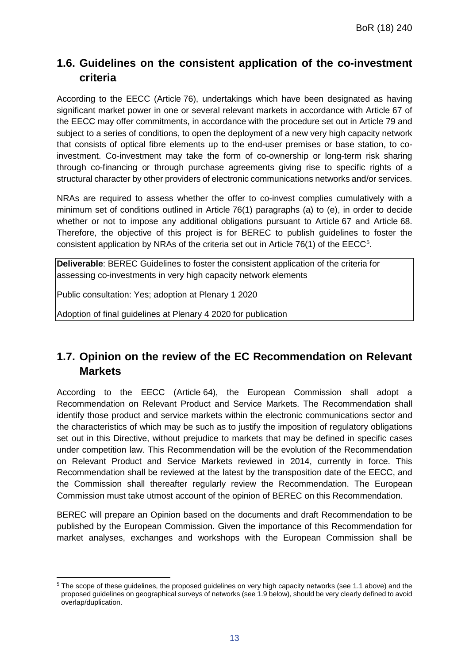## **1.6. Guidelines on the consistent application of the co-investment criteria**

According to the EECC (Article 76), undertakings which have been designated as having significant market power in one or several relevant markets in accordance with Article 67 of the EECC may offer commitments, in accordance with the procedure set out in Article 79 and subject to a series of conditions, to open the deployment of a new very high capacity network that consists of optical fibre elements up to the end-user premises or base station, to coinvestment. Co-investment may take the form of co-ownership or long-term risk sharing through co-financing or through purchase agreements giving rise to specific rights of a structural character by other providers of electronic communications networks and/or services.

NRAs are required to assess whether the offer to co-invest complies cumulatively with a minimum set of conditions outlined in Article 76(1) paragraphs (a) to (e), in order to decide whether or not to impose any additional obligations pursuant to Article 67 and Article 68. Therefore, the objective of this project is for BEREC to publish guidelines to foster the consistent application by NRAs of the criteria set out in Article 76(1) of the EECC<sup>[5](#page-13-0)</sup>.

**Deliverable**: BEREC Guidelines to foster the consistent application of the criteria for assessing co-investments in very high capacity network elements

Public consultation: Yes; adoption at Plenary 1 2020

Adoption of final guidelines at Plenary 4 2020 for publication

## **1.7. Opinion on the review of the EC Recommendation on Relevant Markets**

According to the EECC (Article 64), the European Commission shall adopt a Recommendation on Relevant Product and Service Markets. The Recommendation shall identify those product and service markets within the electronic communications sector and the characteristics of which may be such as to justify the imposition of regulatory obligations set out in this Directive, without prejudice to markets that may be defined in specific cases under competition law. This Recommendation will be the evolution of the Recommendation on Relevant Product and Service Markets reviewed in 2014, currently in force. This Recommendation shall be reviewed at the latest by the transposition date of the EECC, and the Commission shall thereafter regularly review the Recommendation. The European Commission must take utmost account of the opinion of BEREC on this Recommendation.

BEREC will prepare an Opinion based on the documents and draft Recommendation to be published by the European Commission. Given the importance of this Recommendation for market analyses, exchanges and workshops with the European Commission shall be

<span id="page-13-0"></span>l <sup>5</sup> The scope of these guidelines, the proposed guidelines on very high capacity networks (see 1.1 above) and the proposed guidelines on geographical surveys of networks (see 1.9 below), should be very clearly defined to avoid overlap/duplication.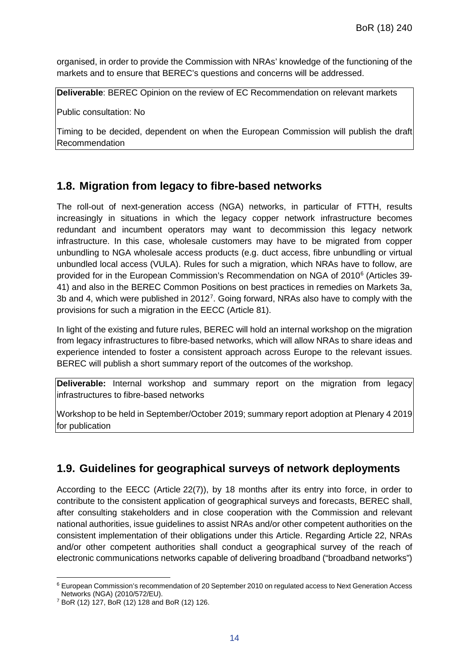organised, in order to provide the Commission with NRAs' knowledge of the functioning of the markets and to ensure that BEREC's questions and concerns will be addressed.

**Deliverable**: BEREC Opinion on the review of EC Recommendation on relevant markets

Public consultation: No

Timing to be decided, dependent on when the European Commission will publish the draft Recommendation

### **1.8. Migration from legacy to fibre-based networks**

The roll-out of next-generation access (NGA) networks, in particular of FTTH, results increasingly in situations in which the legacy copper network infrastructure becomes redundant and incumbent operators may want to decommission this legacy network infrastructure. In this case, wholesale customers may have to be migrated from copper unbundling to NGA wholesale access products (e.g. duct access, fibre unbundling or virtual unbundled local access (VULA). Rules for such a migration, which NRAs have to follow, are provided for in the European Commission's Recommendation on NGA of 2010[6](#page-14-0) (Articles 39- 41) and also in the BEREC Common Positions on best practices in remedies on Markets 3a, 3b and 4, which were published in 2012<sup>[7](#page-14-1)</sup>. Going forward, NRAs also have to comply with the provisions for such a migration in the EECC (Article 81).

In light of the existing and future rules, BEREC will hold an internal workshop on the migration from legacy infrastructures to fibre-based networks, which will allow NRAs to share ideas and experience intended to foster a consistent approach across Europe to the relevant issues. BEREC will publish a short summary report of the outcomes of the workshop.

**Deliverable:** Internal workshop and summary report on the migration from legacy infrastructures to fibre-based networks

Workshop to be held in September/October 2019; summary report adoption at Plenary 4 2019 for publication

### **1.9. Guidelines for geographical surveys of network deployments**

According to the EECC (Article 22(7)), by 18 months after its entry into force, in order to contribute to the consistent application of geographical surveys and forecasts, BEREC shall, after consulting stakeholders and in close cooperation with the Commission and relevant national authorities, issue guidelines to assist NRAs and/or other competent authorities on the consistent implementation of their obligations under this Article. Regarding Article 22, NRAs and/or other competent authorities shall conduct a geographical survey of the reach of electronic communications networks capable of delivering broadband ("broadband networks")

<span id="page-14-0"></span>l <sup>6</sup> European Commission's recommendation of 20 September 2010 on regulated access to Next Generation Access Networks (NGA) (2010/572/EU).

<span id="page-14-1"></span><sup>7</sup> BoR (12) 127, BoR (12) 128 and BoR (12) 126.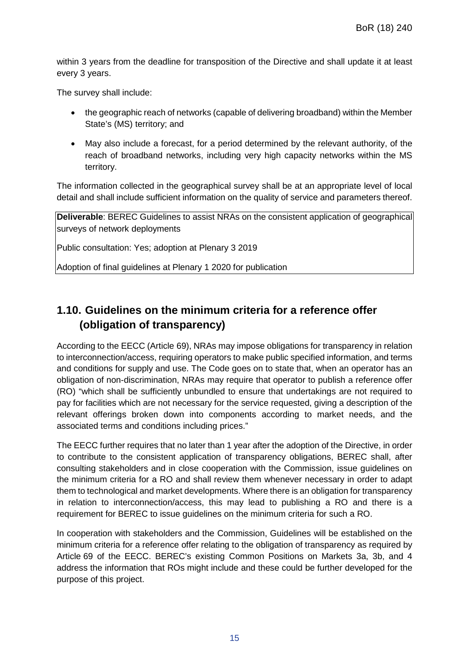within 3 years from the deadline for transposition of the Directive and shall update it at least every 3 years.

The survey shall include:

- the geographic reach of networks (capable of delivering broadband) within the Member State's (MS) territory; and
- May also include a forecast, for a period determined by the relevant authority, of the reach of broadband networks, including very high capacity networks within the MS territory.

The information collected in the geographical survey shall be at an appropriate level of local detail and shall include sufficient information on the quality of service and parameters thereof.

**Deliverable**: BEREC Guidelines to assist NRAs on the consistent application of geographical surveys of network deployments

Public consultation: Yes; adoption at Plenary 3 2019

Adoption of final guidelines at Plenary 1 2020 for publication

## **1.10. Guidelines on the minimum criteria for a reference offer (obligation of transparency)**

According to the EECC (Article 69), NRAs may impose obligations for transparency in relation to interconnection/access, requiring operators to make public specified information, and terms and conditions for supply and use. The Code goes on to state that, when an operator has an obligation of non-discrimination, NRAs may require that operator to publish a reference offer (RO) "which shall be sufficiently unbundled to ensure that undertakings are not required to pay for facilities which are not necessary for the service requested, giving a description of the relevant offerings broken down into components according to market needs, and the associated terms and conditions including prices."

The EECC further requires that no later than 1 year after the adoption of the Directive, in order to contribute to the consistent application of transparency obligations, BEREC shall, after consulting stakeholders and in close cooperation with the Commission, issue guidelines on the minimum criteria for a RO and shall review them whenever necessary in order to adapt them to technological and market developments. Where there is an obligation for transparency in relation to interconnection/access, this may lead to publishing a RO and there is a requirement for BEREC to issue guidelines on the minimum criteria for such a RO.

In cooperation with stakeholders and the Commission, Guidelines will be established on the minimum criteria for a reference offer relating to the obligation of transparency as required by Article 69 of the EECC. BEREC's existing Common Positions on Markets 3a, 3b, and 4 address the information that ROs might include and these could be further developed for the purpose of this project.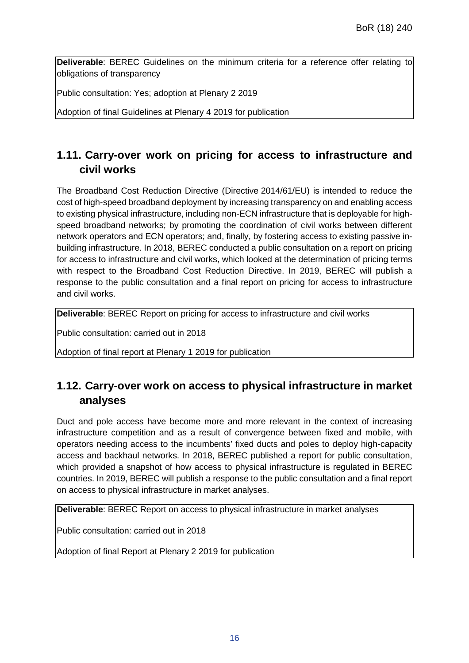**Deliverable**: BEREC Guidelines on the minimum criteria for a reference offer relating to obligations of transparency

Public consultation: Yes; adoption at Plenary 2 2019

Adoption of final Guidelines at Plenary 4 2019 for publication

## **1.11. Carry-over work on pricing for access to infrastructure and civil works**

The Broadband Cost Reduction Directive (Directive 2014/61/EU) is intended to reduce the cost of high-speed broadband deployment by increasing transparency on and enabling access to existing physical infrastructure, including non-ECN infrastructure that is deployable for highspeed broadband networks; by promoting the coordination of civil works between different network operators and ECN operators; and, finally, by fostering access to existing passive inbuilding infrastructure. In 2018, BEREC conducted a public consultation on a report on pricing for access to infrastructure and civil works, which looked at the determination of pricing terms with respect to the Broadband Cost Reduction Directive. In 2019, BEREC will publish a response to the public consultation and a final report on pricing for access to infrastructure and civil works.

**Deliverable**: BEREC Report on pricing for access to infrastructure and civil works

Public consultation: carried out in 2018

Adoption of final report at Plenary 1 2019 for publication

## **1.12. Carry-over work on access to physical infrastructure in market analyses**

Duct and pole access have become more and more relevant in the context of increasing infrastructure competition and as a result of convergence between fixed and mobile, with operators needing access to the incumbents' fixed ducts and poles to deploy high-capacity access and backhaul networks. In 2018, BEREC published a report for public consultation, which provided a snapshot of how access to physical infrastructure is regulated in BEREC countries. In 2019, BEREC will publish a response to the public consultation and a final report on access to physical infrastructure in market analyses.

**Deliverable**: BEREC Report on access to physical infrastructure in market analyses

Public consultation: carried out in 2018

Adoption of final Report at Plenary 2 2019 for publication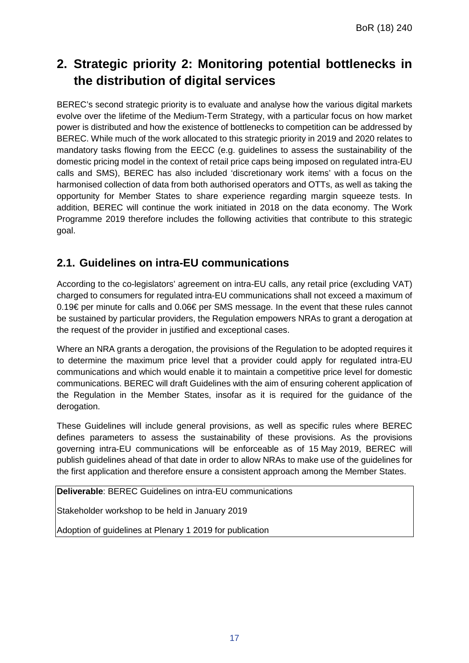# **2. Strategic priority 2: Monitoring potential bottlenecks in the distribution of digital services**

BEREC's second strategic priority is to evaluate and analyse how the various digital markets evolve over the lifetime of the Medium-Term Strategy, with a particular focus on how market power is distributed and how the existence of bottlenecks to competition can be addressed by BEREC. While much of the work allocated to this strategic priority in 2019 and 2020 relates to mandatory tasks flowing from the EECC (e.g. guidelines to assess the sustainability of the domestic pricing model in the context of retail price caps being imposed on regulated intra-EU calls and SMS), BEREC has also included 'discretionary work items' with a focus on the harmonised collection of data from both authorised operators and OTTs, as well as taking the opportunity for Member States to share experience regarding margin squeeze tests. In addition, BEREC will continue the work initiated in 2018 on the data economy. The Work Programme 2019 therefore includes the following activities that contribute to this strategic goal.

## **2.1. Guidelines on intra-EU communications**

According to the co-legislators' agreement on intra-EU calls, any retail price (excluding VAT) charged to consumers for regulated intra-EU communications shall not exceed a maximum of 0.19€ per minute for calls and 0.06€ per SMS message. In the event that these rules cannot be sustained by particular providers, the Regulation empowers NRAs to grant a derogation at the request of the provider in justified and exceptional cases.

Where an NRA grants a derogation, the provisions of the Regulation to be adopted requires it to determine the maximum price level that a provider could apply for regulated intra-EU communications and which would enable it to maintain a competitive price level for domestic communications. BEREC will draft Guidelines with the aim of ensuring coherent application of the Regulation in the Member States, insofar as it is required for the guidance of the derogation.

These Guidelines will include general provisions, as well as specific rules where BEREC defines parameters to assess the sustainability of these provisions. As the provisions governing intra-EU communications will be enforceable as of 15 May 2019, BEREC will publish guidelines ahead of that date in order to allow NRAs to make use of the guidelines for the first application and therefore ensure a consistent approach among the Member States.

**Deliverable**: BEREC Guidelines on intra-EU communications

Stakeholder workshop to be held in January 2019

Adoption of guidelines at Plenary 1 2019 for publication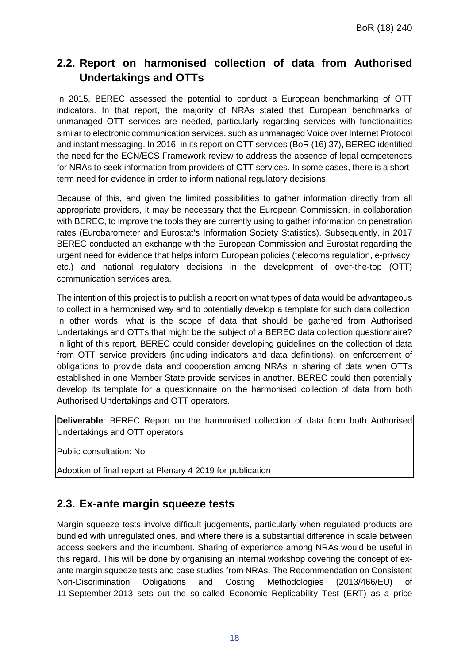## **2.2. Report on harmonised collection of data from Authorised Undertakings and OTTs**

In 2015, BEREC assessed the potential to conduct a European benchmarking of OTT indicators. In that report, the majority of NRAs stated that European benchmarks of unmanaged OTT services are needed, particularly regarding services with functionalities similar to electronic communication services, such as unmanaged Voice over Internet Protocol and instant messaging. In 2016, in its report on OTT services (BoR (16) 37), BEREC identified the need for the ECN/ECS Framework review to address the absence of legal competences for NRAs to seek information from providers of OTT services. In some cases, there is a shortterm need for evidence in order to inform national regulatory decisions.

Because of this, and given the limited possibilities to gather information directly from all appropriate providers, it may be necessary that the European Commission, in collaboration with BEREC, to improve the tools they are currently using to gather information on penetration rates (Eurobarometer and Eurostat's Information Society Statistics). Subsequently, in 2017 BEREC conducted an exchange with the European Commission and Eurostat regarding the urgent need for evidence that helps inform European policies (telecoms regulation, e-privacy, etc.) and national regulatory decisions in the development of over-the-top (OTT) communication services area.

The intention of this project is to publish a report on what types of data would be advantageous to collect in a harmonised way and to potentially develop a template for such data collection. In other words, what is the scope of data that should be gathered from Authorised Undertakings and OTTs that might be the subject of a BEREC data collection questionnaire? In light of this report, BEREC could consider developing guidelines on the collection of data from OTT service providers (including indicators and data definitions), on enforcement of obligations to provide data and cooperation among NRAs in sharing of data when OTTs established in one Member State provide services in another. BEREC could then potentially develop its template for a questionnaire on the harmonised collection of data from both Authorised Undertakings and OTT operators.

**Deliverable**: BEREC Report on the harmonised collection of data from both Authorised Undertakings and OTT operators

Public consultation: No

Adoption of final report at Plenary 4 2019 for publication

### **2.3. Ex-ante margin squeeze tests**

Margin squeeze tests involve difficult judgements, particularly when regulated products are bundled with unregulated ones, and where there is a substantial difference in scale between access seekers and the incumbent. Sharing of experience among NRAs would be useful in this regard. This will be done by organising an internal workshop covering the concept of exante margin squeeze tests and case studies from NRAs. The Recommendation on Consistent Non-Discrimination Obligations and Costing Methodologies (2013/466/EU) of 11 September 2013 sets out the so-called Economic Replicability Test (ERT) as a price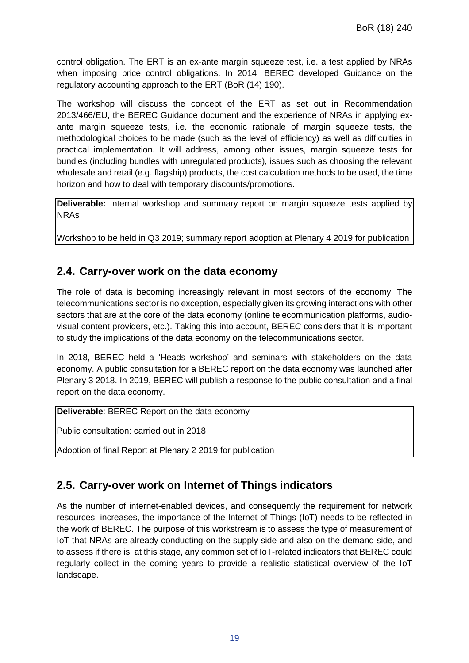control obligation. The ERT is an ex-ante margin squeeze test, i.e. a test applied by NRAs when imposing price control obligations. In 2014, BEREC developed Guidance on the regulatory accounting approach to the ERT (BoR (14) 190).

The workshop will discuss the concept of the ERT as set out in Recommendation 2013/466/EU, the BEREC Guidance document and the experience of NRAs in applying exante margin squeeze tests, i.e. the economic rationale of margin squeeze tests, the methodological choices to be made (such as the level of efficiency) as well as difficulties in practical implementation. It will address, among other issues, margin squeeze tests for bundles (including bundles with unregulated products), issues such as choosing the relevant wholesale and retail (e.g. flagship) products, the cost calculation methods to be used, the time horizon and how to deal with temporary discounts/promotions.

**Deliverable:** Internal workshop and summary report on margin squeeze tests applied by NRAs

Workshop to be held in Q3 2019; summary report adoption at Plenary 4 2019 for publication

### **2.4. Carry-over work on the data economy**

The role of data is becoming increasingly relevant in most sectors of the economy. The telecommunications sector is no exception, especially given its growing interactions with other sectors that are at the core of the data economy (online telecommunication platforms, audiovisual content providers, etc.). Taking this into account, BEREC considers that it is important to study the implications of the data economy on the telecommunications sector.

In 2018, BEREC held a 'Heads workshop' and seminars with stakeholders on the data economy. A public consultation for a BEREC report on the data economy was launched after Plenary 3 2018. In 2019, BEREC will publish a response to the public consultation and a final report on the data economy.

**Deliverable**: BEREC Report on the data economy

Public consultation: carried out in 2018

Adoption of final Report at Plenary 2 2019 for publication

### **2.5. Carry-over work on Internet of Things indicators**

As the number of internet-enabled devices, and consequently the requirement for network resources, increases, the importance of the Internet of Things (IoT) needs to be reflected in the work of BEREC. The purpose of this workstream is to assess the type of measurement of IoT that NRAs are already conducting on the supply side and also on the demand side, and to assess if there is, at this stage, any common set of IoT-related indicators that BEREC could regularly collect in the coming years to provide a realistic statistical overview of the IoT landscape.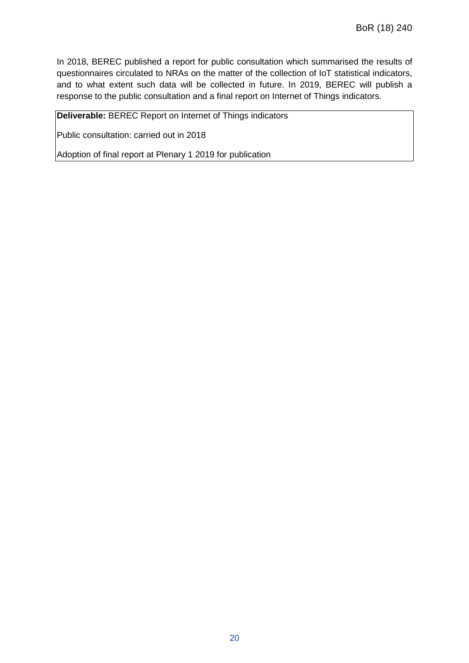In 2018, BEREC published a report for public consultation which summarised the results of questionnaires circulated to NRAs on the matter of the collection of IoT statistical indicators, and to what extent such data will be collected in future. In 2019, BEREC will publish a response to the public consultation and a final report on Internet of Things indicators.

**Deliverable:** BEREC Report on Internet of Things indicators

Public consultation: carried out in 2018

Adoption of final report at Plenary 1 2019 for publication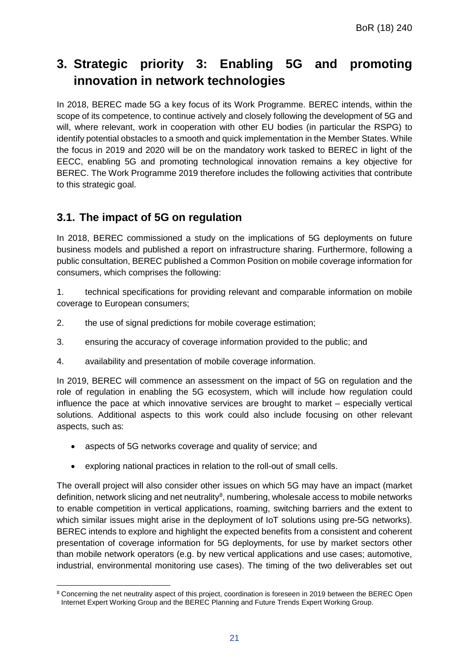# **3. Strategic priority 3: Enabling 5G and promoting innovation in network technologies**

In 2018, BEREC made 5G a key focus of its Work Programme. BEREC intends, within the scope of its competence, to continue actively and closely following the development of 5G and will, where relevant, work in cooperation with other EU bodies (in particular the RSPG) to identify potential obstacles to a smooth and quick implementation in the Member States. While the focus in 2019 and 2020 will be on the mandatory work tasked to BEREC in light of the EECC, enabling 5G and promoting technological innovation remains a key objective for BEREC. The Work Programme 2019 therefore includes the following activities that contribute to this strategic goal.

## **3.1. The impact of 5G on regulation**

In 2018, BEREC commissioned a study on the implications of 5G deployments on future business models and published a report on infrastructure sharing. Furthermore, following a public consultation, BEREC published a Common Position on mobile coverage information for consumers, which comprises the following:

1. technical specifications for providing relevant and comparable information on mobile coverage to European consumers;

- 2. the use of signal predictions for mobile coverage estimation;
- 3. ensuring the accuracy of coverage information provided to the public; and
- 4. availability and presentation of mobile coverage information.

In 2019, BEREC will commence an assessment on the impact of 5G on regulation and the role of regulation in enabling the 5G ecosystem, which will include how regulation could influence the pace at which innovative services are brought to market – especially vertical solutions. Additional aspects to this work could also include focusing on other relevant aspects, such as:

- aspects of 5G networks coverage and quality of service; and
- exploring national practices in relation to the roll-out of small cells.

The overall project will also consider other issues on which 5G may have an impact (market definition, network slicing and net neutrality $^8$  $^8$ , numbering, wholesale access to mobile networks to enable competition in vertical applications, roaming, switching barriers and the extent to which similar issues might arise in the deployment of IoT solutions using pre-5G networks). BEREC intends to explore and highlight the expected benefits from a consistent and coherent presentation of coverage information for 5G deployments, for use by market sectors other than mobile network operators (e.g. by new vertical applications and use cases; automotive, industrial, environmental monitoring use cases). The timing of the two deliverables set out

<span id="page-21-0"></span> $\overline{a}$ 8 Concerning the net neutrality aspect of this project, coordination is foreseen in 2019 between the BEREC Open Internet Expert Working Group and the BEREC Planning and Future Trends Expert Working Group.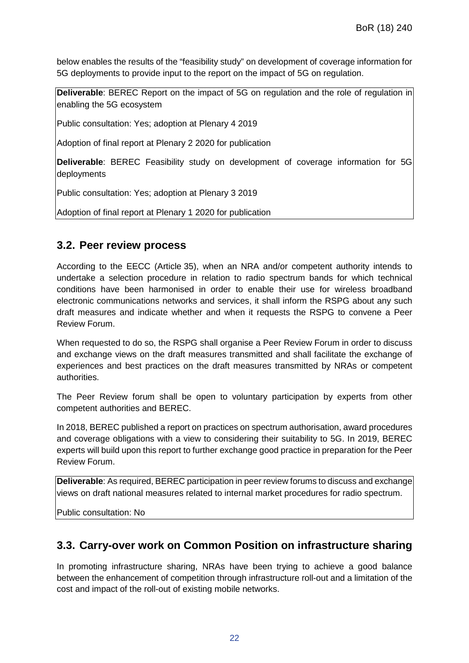below enables the results of the "feasibility study" on development of coverage information for 5G deployments to provide input to the report on the impact of 5G on regulation.

**Deliverable**: BEREC Report on the impact of 5G on regulation and the role of regulation in enabling the 5G ecosystem

Public consultation: Yes; adoption at Plenary 4 2019

Adoption of final report at Plenary 2 2020 for publication

**Deliverable**: BEREC Feasibility study on development of coverage information for 5G deployments

Public consultation: Yes; adoption at Plenary 3 2019

Adoption of final report at Plenary 1 2020 for publication

#### **3.2. Peer review process**

According to the EECC (Article 35), when an NRA and/or competent authority intends to undertake a selection procedure in relation to radio spectrum bands for which technical conditions have been harmonised in order to enable their use for wireless broadband electronic communications networks and services, it shall inform the RSPG about any such draft measures and indicate whether and when it requests the RSPG to convene a Peer Review Forum.

When requested to do so, the RSPG shall organise a Peer Review Forum in order to discuss and exchange views on the draft measures transmitted and shall facilitate the exchange of experiences and best practices on the draft measures transmitted by NRAs or competent authorities.

The Peer Review forum shall be open to voluntary participation by experts from other competent authorities and BEREC.

In 2018, BEREC published a report on practices on spectrum authorisation, award procedures and coverage obligations with a view to considering their suitability to 5G. In 2019, BEREC experts will build upon this report to further exchange good practice in preparation for the Peer Review Forum.

**Deliverable**: As required, BEREC participation in peer review forums to discuss and exchange views on draft national measures related to internal market procedures for radio spectrum.

Public consultation: No

### **3.3. Carry-over work on Common Position on infrastructure sharing**

In promoting infrastructure sharing, NRAs have been trying to achieve a good balance between the enhancement of competition through infrastructure roll-out and a limitation of the cost and impact of the roll-out of existing mobile networks.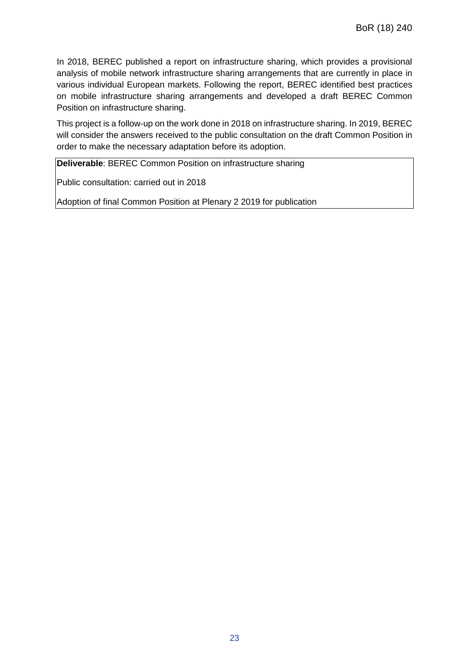In 2018, BEREC published a report on infrastructure sharing, which provides a provisional analysis of mobile network infrastructure sharing arrangements that are currently in place in various individual European markets. Following the report, BEREC identified best practices on mobile infrastructure sharing arrangements and developed a draft BEREC Common Position on infrastructure sharing.

This project is a follow-up on the work done in 2018 on infrastructure sharing. In 2019, BEREC will consider the answers received to the public consultation on the draft Common Position in order to make the necessary adaptation before its adoption.

**Deliverable**: BEREC Common Position on infrastructure sharing

Public consultation: carried out in 2018

Adoption of final Common Position at Plenary 2 2019 for publication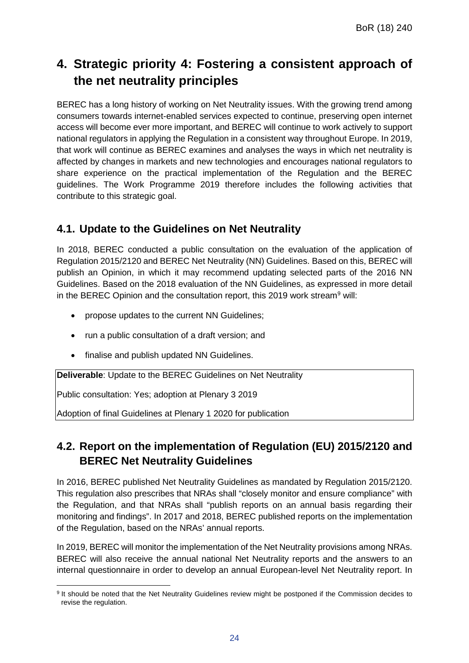# **4. Strategic priority 4: Fostering a consistent approach of the net neutrality principles**

BEREC has a long history of working on Net Neutrality issues. With the growing trend among consumers towards internet-enabled services expected to continue, preserving open internet access will become ever more important, and BEREC will continue to work actively to support national regulators in applying the Regulation in a consistent way throughout Europe. In 2019, that work will continue as BEREC examines and analyses the ways in which net neutrality is affected by changes in markets and new technologies and encourages national regulators to share experience on the practical implementation of the Regulation and the BEREC guidelines. The Work Programme 2019 therefore includes the following activities that contribute to this strategic goal.

### **4.1. Update to the Guidelines on Net Neutrality**

In 2018, BEREC conducted a public consultation on the evaluation of the application of Regulation 2015/2120 and BEREC Net Neutrality (NN) Guidelines. Based on this, BEREC will publish an Opinion, in which it may recommend updating selected parts of the 2016 NN Guidelines. Based on the 2018 evaluation of the NN Guidelines, as expressed in more detail in the BEREC Opinion and the consultation report, this 201[9](#page-24-0) work stream $9$  will:

- propose updates to the current NN Guidelines;
- run a public consultation of a draft version; and
- finalise and publish updated NN Guidelines.

**Deliverable**: Update to the BEREC Guidelines on Net Neutrality

Public consultation: Yes; adoption at Plenary 3 2019

Adoption of final Guidelines at Plenary 1 2020 for publication

## **4.2. Report on the implementation of Regulation (EU) 2015/2120 and BEREC Net Neutrality Guidelines**

In 2016, BEREC published Net Neutrality Guidelines as mandated by Regulation 2015/2120. This regulation also prescribes that NRAs shall "closely monitor and ensure compliance" with the Regulation, and that NRAs shall "publish reports on an annual basis regarding their monitoring and findings". In 2017 and 2018, BEREC published reports on the implementation of the Regulation, based on the NRAs' annual reports.

In 2019, BEREC will monitor the implementation of the Net Neutrality provisions among NRAs. BEREC will also receive the annual national Net Neutrality reports and the answers to an internal questionnaire in order to develop an annual European-level Net Neutrality report. In

<span id="page-24-0"></span> $\overline{a}$ <sup>9</sup> It should be noted that the Net Neutrality Guidelines review might be postponed if the Commission decides to revise the regulation.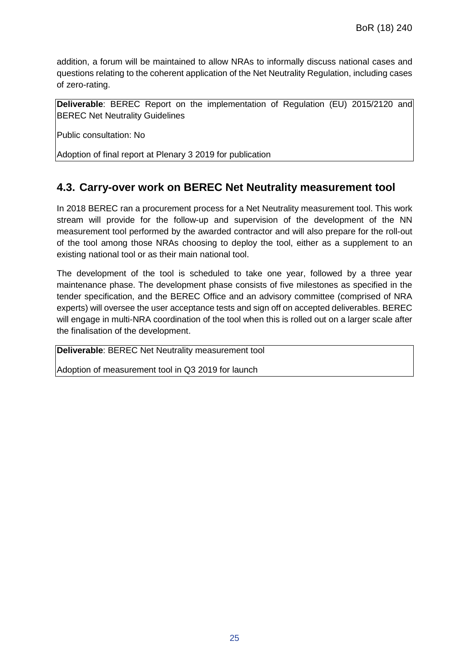addition, a forum will be maintained to allow NRAs to informally discuss national cases and questions relating to the coherent application of the Net Neutrality Regulation, including cases of zero-rating.

**Deliverable**: BEREC Report on the implementation of Regulation (EU) 2015/2120 and BEREC Net Neutrality Guidelines

Public consultation: No

Adoption of final report at Plenary 3 2019 for publication

### **4.3. Carry-over work on BEREC Net Neutrality measurement tool**

In 2018 BEREC ran a procurement process for a Net Neutrality measurement tool. This work stream will provide for the follow-up and supervision of the development of the NN measurement tool performed by the awarded contractor and will also prepare for the roll-out of the tool among those NRAs choosing to deploy the tool, either as a supplement to an existing national tool or as their main national tool.

The development of the tool is scheduled to take one year, followed by a three year maintenance phase. The development phase consists of five milestones as specified in the tender specification, and the BEREC Office and an advisory committee (comprised of NRA experts) will oversee the user acceptance tests and sign off on accepted deliverables. BEREC will engage in multi-NRA coordination of the tool when this is rolled out on a larger scale after the finalisation of the development.

**Deliverable**: BEREC Net Neutrality measurement tool

Adoption of measurement tool in Q3 2019 for launch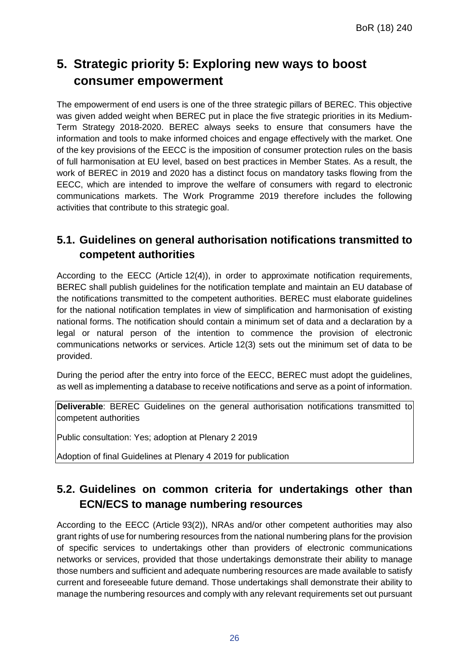# **5. Strategic priority 5: Exploring new ways to boost consumer empowerment**

The empowerment of end users is one of the three strategic pillars of BEREC. This objective was given added weight when BEREC put in place the five strategic priorities in its Medium-Term Strategy 2018-2020. BEREC always seeks to ensure that consumers have the information and tools to make informed choices and engage effectively with the market. One of the key provisions of the EECC is the imposition of consumer protection rules on the basis of full harmonisation at EU level, based on best practices in Member States. As a result, the work of BEREC in 2019 and 2020 has a distinct focus on mandatory tasks flowing from the EECC, which are intended to improve the welfare of consumers with regard to electronic communications markets. The Work Programme 2019 therefore includes the following activities that contribute to this strategic goal.

## **5.1. Guidelines on general authorisation notifications transmitted to competent authorities**

According to the EECC (Article 12(4)), in order to approximate notification requirements, BEREC shall publish guidelines for the notification template and maintain an EU database of the notifications transmitted to the competent authorities. BEREC must elaborate guidelines for the national notification templates in view of simplification and harmonisation of existing national forms. The notification should contain a minimum set of data and a declaration by a legal or natural person of the intention to commence the provision of electronic communications networks or services. Article 12(3) sets out the minimum set of data to be provided.

During the period after the entry into force of the EECC, BEREC must adopt the guidelines, as well as implementing a database to receive notifications and serve as a point of information.

**Deliverable:** BEREC Guidelines on the general authorisation notifications transmitted to competent authorities

Public consultation: Yes; adoption at Plenary 2 2019

Adoption of final Guidelines at Plenary 4 2019 for publication

## **5.2. Guidelines on common criteria for undertakings other than ECN/ECS to manage numbering resources**

According to the EECC (Article 93(2)), NRAs and/or other competent authorities may also grant rights of use for numbering resources from the national numbering plans for the provision of specific services to undertakings other than providers of electronic communications networks or services, provided that those undertakings demonstrate their ability to manage those numbers and sufficient and adequate numbering resources are made available to satisfy current and foreseeable future demand. Those undertakings shall demonstrate their ability to manage the numbering resources and comply with any relevant requirements set out pursuant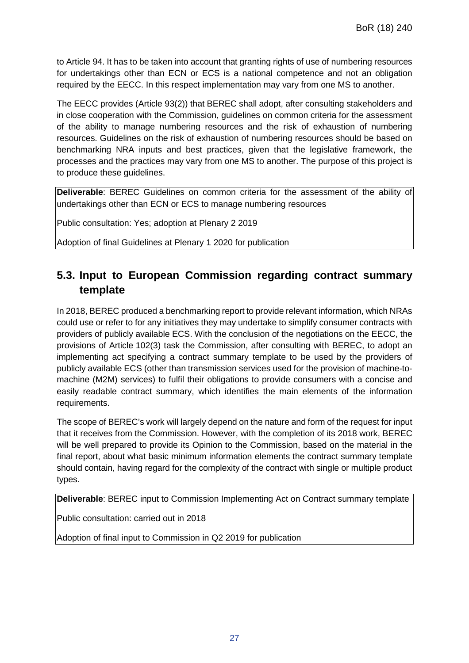to Article 94. It has to be taken into account that granting rights of use of numbering resources for undertakings other than ECN or ECS is a national competence and not an obligation required by the EECC. In this respect implementation may vary from one MS to another.

The EECC provides (Article 93(2)) that BEREC shall adopt, after consulting stakeholders and in close cooperation with the Commission, guidelines on common criteria for the assessment of the ability to manage numbering resources and the risk of exhaustion of numbering resources. Guidelines on the risk of exhaustion of numbering resources should be based on benchmarking NRA inputs and best practices, given that the legislative framework, the processes and the practices may vary from one MS to another. The purpose of this project is to produce these guidelines.

**Deliverable**: BEREC Guidelines on common criteria for the assessment of the ability of undertakings other than ECN or ECS to manage numbering resources

Public consultation: Yes; adoption at Plenary 2 2019

Adoption of final Guidelines at Plenary 1 2020 for publication

## **5.3. Input to European Commission regarding contract summary template**

In 2018, BEREC produced a benchmarking report to provide relevant information, which NRAs could use or refer to for any initiatives they may undertake to simplify consumer contracts with providers of publicly available ECS. With the conclusion of the negotiations on the EECC, the provisions of Article 102(3) task the Commission, after consulting with BEREC, to adopt an implementing act specifying a contract summary template to be used by the providers of publicly available ECS (other than transmission services used for the provision of machine-tomachine (M2M) services) to fulfil their obligations to provide consumers with a concise and easily readable contract summary, which identifies the main elements of the information requirements.

The scope of BEREC's work will largely depend on the nature and form of the request for input that it receives from the Commission. However, with the completion of its 2018 work, BEREC will be well prepared to provide its Opinion to the Commission, based on the material in the final report, about what basic minimum information elements the contract summary template should contain, having regard for the complexity of the contract with single or multiple product types.

**Deliverable**: BEREC input to Commission Implementing Act on Contract summary template

Public consultation: carried out in 2018

Adoption of final input to Commission in Q2 2019 for publication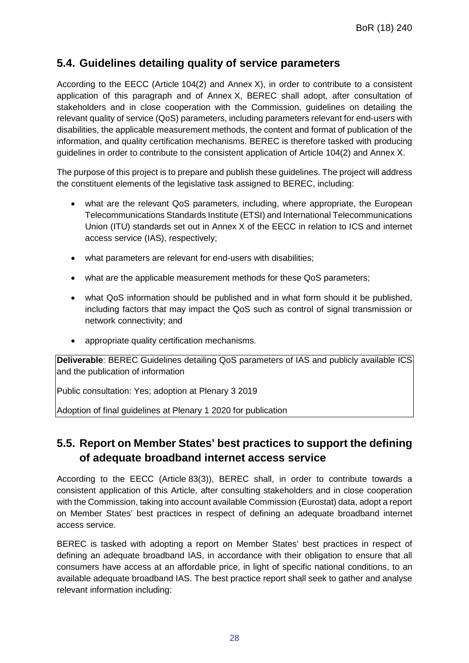### **5.4. Guidelines detailing quality of service parameters**

According to the EECC (Article 104(2) and Annex X), in order to contribute to a consistent application of this paragraph and of Annex X, BEREC shall adopt, after consultation of stakeholders and in close cooperation with the Commission, guidelines on detailing the relevant quality of service (QoS) parameters, including parameters relevant for end-users with disabilities, the applicable measurement methods, the content and format of publication of the information, and quality certification mechanisms. BEREC is therefore tasked with producing guidelines in order to contribute to the consistent application of Article 104(2) and Annex X.

The purpose of this project is to prepare and publish these guidelines. The project will address the constituent elements of the legislative task assigned to BEREC, including:

- what are the relevant QoS parameters, including, where appropriate, the European Telecommunications Standards Institute (ETSI) and International Telecommunications Union (ITU) standards set out in Annex X of the EECC in relation to ICS and internet access service (IAS), respectively;
- what parameters are relevant for end-users with disabilities;
- what are the applicable measurement methods for these QoS parameters;
- what QoS information should be published and in what form should it be published, including factors that may impact the QoS such as control of signal transmission or network connectivity; and
- appropriate quality certification mechanisms.

**Deliverable**: BEREC Guidelines detailing QoS parameters of IAS and publicly available ICS and the publication of information

Public consultation: Yes; adoption at Plenary 3 2019

Adoption of final guidelines at Plenary 1 2020 for publication

## **5.5. Report on Member States' best practices to support the defining of adequate broadband internet access service**

According to the EECC (Article 83(3)), BEREC shall, in order to contribute towards a consistent application of this Article, after consulting stakeholders and in close cooperation with the Commission, taking into account available Commission (Eurostat) data, adopt a report on Member States' best practices in respect of defining an adequate broadband internet access service.

BEREC is tasked with adopting a report on Member States' best practices in respect of defining an adequate broadband IAS, in accordance with their obligation to ensure that all consumers have access at an affordable price, in light of specific national conditions, to an available adequate broadband IAS. The best practice report shall seek to gather and analyse relevant information including: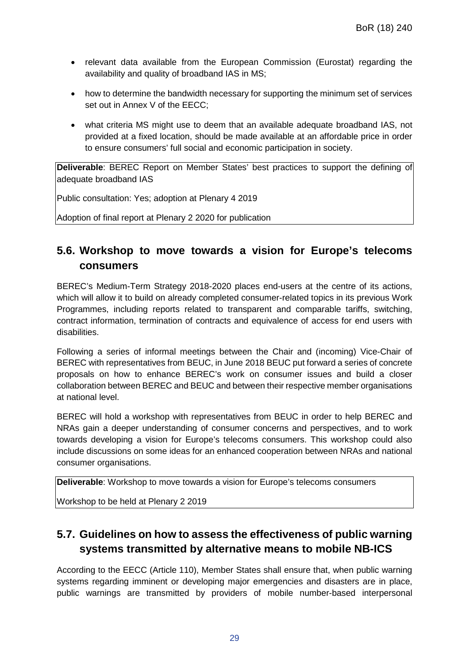- relevant data available from the European Commission (Eurostat) regarding the availability and quality of broadband IAS in MS;
- how to determine the bandwidth necessary for supporting the minimum set of services set out in Annex V of the EECC;
- what criteria MS might use to deem that an available adequate broadband IAS, not provided at a fixed location, should be made available at an affordable price in order to ensure consumers' full social and economic participation in society.

**Deliverable**: BEREC Report on Member States' best practices to support the defining of adequate broadband IAS

Public consultation: Yes; adoption at Plenary 4 2019

Adoption of final report at Plenary 2 2020 for publication

## **5.6. Workshop to move towards a vision for Europe's telecoms consumers**

BEREC's Medium-Term Strategy 2018-2020 places end-users at the centre of its actions, which will allow it to build on already completed consumer-related topics in its previous Work Programmes, including reports related to transparent and comparable tariffs, switching, contract information, termination of contracts and equivalence of access for end users with disabilities.

Following a series of informal meetings between the Chair and (incoming) Vice-Chair of BEREC with representatives from BEUC, in June 2018 BEUC put forward a series of concrete proposals on how to enhance BEREC's work on consumer issues and build a closer collaboration between BEREC and BEUC and between their respective member organisations at national level.

BEREC will hold a workshop with representatives from BEUC in order to help BEREC and NRAs gain a deeper understanding of consumer concerns and perspectives, and to work towards developing a vision for Europe's telecoms consumers. This workshop could also include discussions on some ideas for an enhanced cooperation between NRAs and national consumer organisations.

**Deliverable**: Workshop to move towards a vision for Europe's telecoms consumers

Workshop to be held at Plenary 2 2019

## **5.7. Guidelines on how to assess the effectiveness of public warning systems transmitted by alternative means to mobile NB-ICS**

According to the EECC (Article 110), Member States shall ensure that, when public warning systems regarding imminent or developing major emergencies and disasters are in place, public warnings are transmitted by providers of mobile number-based interpersonal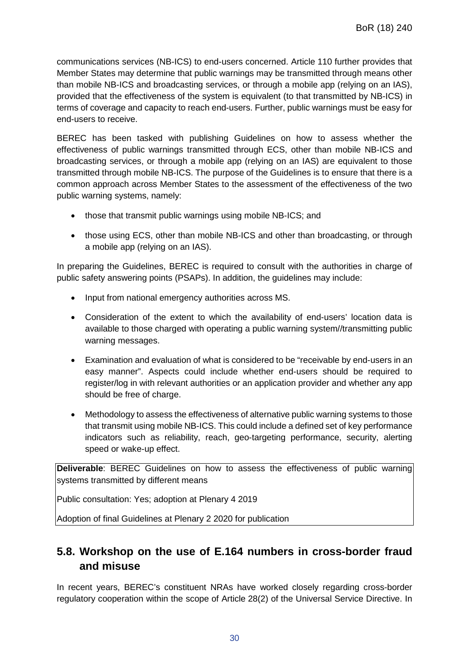communications services (NB-ICS) to end-users concerned. Article 110 further provides that Member States may determine that public warnings may be transmitted through means other than mobile NB-ICS and broadcasting services, or through a mobile app (relying on an IAS), provided that the effectiveness of the system is equivalent (to that transmitted by NB-ICS) in terms of coverage and capacity to reach end-users. Further, public warnings must be easy for end-users to receive.

BEREC has been tasked with publishing Guidelines on how to assess whether the effectiveness of public warnings transmitted through ECS, other than mobile NB-ICS and broadcasting services, or through a mobile app (relying on an IAS) are equivalent to those transmitted through mobile NB-ICS. The purpose of the Guidelines is to ensure that there is a common approach across Member States to the assessment of the effectiveness of the two public warning systems, namely:

- those that transmit public warnings using mobile NB-ICS; and
- those using ECS, other than mobile NB-ICS and other than broadcasting, or through a mobile app (relying on an IAS).

In preparing the Guidelines, BEREC is required to consult with the authorities in charge of public safety answering points (PSAPs). In addition, the guidelines may include:

- Input from national emergency authorities across MS.
- Consideration of the extent to which the availability of end-users' location data is available to those charged with operating a public warning system//transmitting public warning messages.
- Examination and evaluation of what is considered to be "receivable by end-users in an easy manner". Aspects could include whether end-users should be required to register/log in with relevant authorities or an application provider and whether any app should be free of charge.
- Methodology to assess the effectiveness of alternative public warning systems to those that transmit using mobile NB-ICS. This could include a defined set of key performance indicators such as reliability, reach, geo-targeting performance, security, alerting speed or wake-up effect.

**Deliverable:** BEREC Guidelines on how to assess the effectiveness of public warning systems transmitted by different means

Public consultation: Yes; adoption at Plenary 4 2019

Adoption of final Guidelines at Plenary 2 2020 for publication

## **5.8. Workshop on the use of E.164 numbers in cross-border fraud and misuse**

In recent years, BEREC's constituent NRAs have worked closely regarding cross-border regulatory cooperation within the scope of Article 28(2) of the Universal Service Directive. In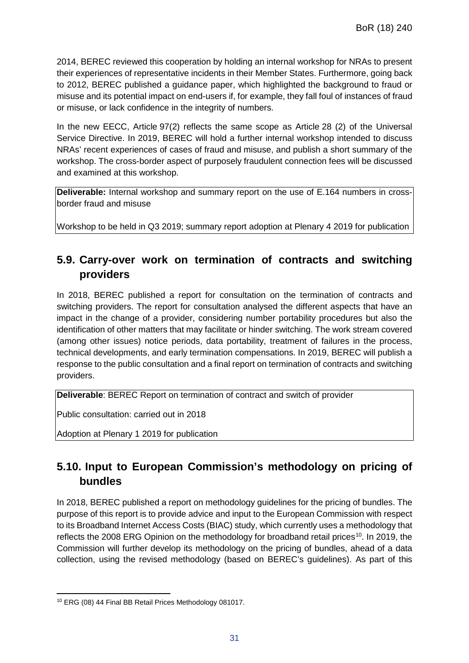2014, BEREC reviewed this cooperation by holding an internal workshop for NRAs to present their experiences of representative incidents in their Member States. Furthermore, going back to 2012, BEREC published a guidance paper, which highlighted the background to fraud or misuse and its potential impact on end-users if, for example, they fall foul of instances of fraud or misuse, or lack confidence in the integrity of numbers.

In the new EECC, Article 97(2) reflects the same scope as Article 28 (2) of the Universal Service Directive. In 2019, BEREC will hold a further internal workshop intended to discuss NRAs' recent experiences of cases of fraud and misuse, and publish a short summary of the workshop. The cross-border aspect of purposely fraudulent connection fees will be discussed and examined at this workshop.

**Deliverable:** Internal workshop and summary report on the use of E.164 numbers in crossborder fraud and misuse

Workshop to be held in Q3 2019; summary report adoption at Plenary 4 2019 for publication

## **5.9. Carry-over work on termination of contracts and switching providers**

In 2018, BEREC published a report for consultation on the termination of contracts and switching providers. The report for consultation analysed the different aspects that have an impact in the change of a provider, considering number portability procedures but also the identification of other matters that may facilitate or hinder switching. The work stream covered (among other issues) notice periods, data portability, treatment of failures in the process, technical developments, and early termination compensations. In 2019, BEREC will publish a response to the public consultation and a final report on termination of contracts and switching providers.

**Deliverable**: BEREC Report on termination of contract and switch of provider

Public consultation: carried out in 2018

Adoption at Plenary 1 2019 for publication

## **5.10. Input to European Commission's methodology on pricing of bundles**

In 2018, BEREC published a report on methodology guidelines for the pricing of bundles. The purpose of this report is to provide advice and input to the European Commission with respect to its Broadband Internet Access Costs (BIAC) study, which currently uses a methodology that reflects the 2008 ERG Opinion on the methodology for broadband retail prices<sup>10</sup>. In 2019, the Commission will further develop its methodology on the pricing of bundles, ahead of a data collection, using the revised methodology (based on BEREC's guidelines). As part of this

<span id="page-31-0"></span> $\overline{a}$ <sup>10</sup> ERG (08) 44 Final BB Retail Prices Methodology 081017.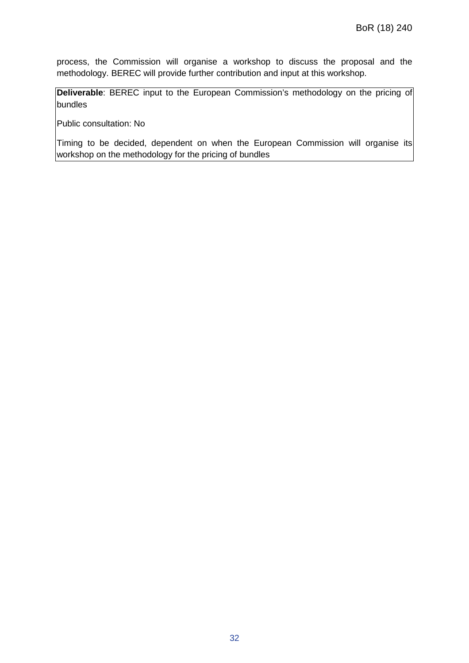process, the Commission will organise a workshop to discuss the proposal and the methodology. BEREC will provide further contribution and input at this workshop.

**Deliverable:** BEREC input to the European Commission's methodology on the pricing of bundles

Public consultation: No

Timing to be decided, dependent on when the European Commission will organise its workshop on the methodology for the pricing of bundles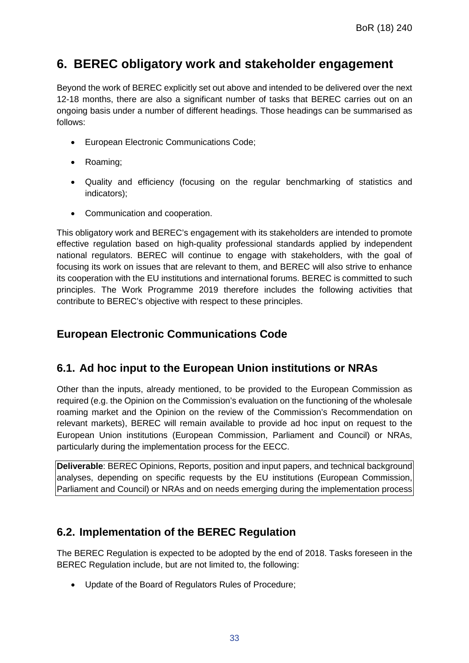## **6. BEREC obligatory work and stakeholder engagement**

Beyond the work of BEREC explicitly set out above and intended to be delivered over the next 12-18 months, there are also a significant number of tasks that BEREC carries out on an ongoing basis under a number of different headings. Those headings can be summarised as follows:

- European Electronic Communications Code;
- Roaming;
- Quality and efficiency (focusing on the regular benchmarking of statistics and indicators);
- Communication and cooperation.

This obligatory work and BEREC's engagement with its stakeholders are intended to promote effective regulation based on high-quality professional standards applied by independent national regulators. BEREC will continue to engage with stakeholders, with the goal of focusing its work on issues that are relevant to them, and BEREC will also strive to enhance its cooperation with the EU institutions and international forums. BEREC is committed to such principles. The Work Programme 2019 therefore includes the following activities that contribute to BEREC's objective with respect to these principles.

#### **European Electronic Communications Code**

#### **6.1. Ad hoc input to the European Union institutions or NRAs**

Other than the inputs, already mentioned, to be provided to the European Commission as required (e.g. the Opinion on the Commission's evaluation on the functioning of the wholesale roaming market and the Opinion on the review of the Commission's Recommendation on relevant markets), BEREC will remain available to provide ad hoc input on request to the European Union institutions (European Commission, Parliament and Council) or NRAs, particularly during the implementation process for the EECC.

**Deliverable**: BEREC Opinions, Reports, position and input papers, and technical background analyses, depending on specific requests by the EU institutions (European Commission, Parliament and Council) or NRAs and on needs emerging during the implementation process

### **6.2. Implementation of the BEREC Regulation**

The BEREC Regulation is expected to be adopted by the end of 2018. Tasks foreseen in the BEREC Regulation include, but are not limited to, the following:

• Update of the Board of Regulators Rules of Procedure;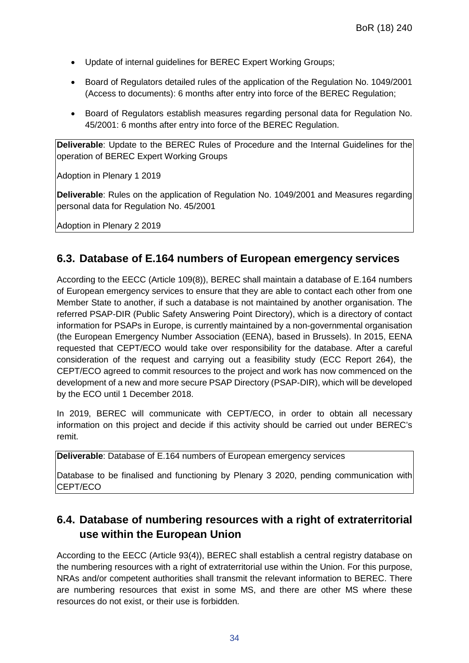- Update of internal guidelines for BEREC Expert Working Groups;
- Board of Regulators detailed rules of the application of the Regulation No. 1049/2001 (Access to documents): 6 months after entry into force of the BEREC Regulation;
- Board of Regulators establish measures regarding personal data for Regulation No. 45/2001: 6 months after entry into force of the BEREC Regulation.

**Deliverable**: Update to the BEREC Rules of Procedure and the Internal Guidelines for the operation of BEREC Expert Working Groups

Adoption in Plenary 1 2019

**Deliverable**: Rules on the application of Regulation No. 1049/2001 and Measures regarding personal data for Regulation No. 45/2001

Adoption in Plenary 2 2019

#### **6.3. Database of E.164 numbers of European emergency services**

According to the EECC (Article 109(8)), BEREC shall maintain a database of E.164 numbers of European emergency services to ensure that they are able to contact each other from one Member State to another, if such a database is not maintained by another organisation. The referred PSAP-DIR (Public Safety Answering Point Directory), which is a directory of contact information for PSAPs in Europe, is currently maintained by a non-governmental organisation (the European Emergency Number Association (EENA), based in Brussels). In 2015, EENA requested that CEPT/ECO would take over responsibility for the database. After a careful consideration of the request and carrying out a feasibility study (ECC Report 264), the CEPT/ECO agreed to commit resources to the project and work has now commenced on the development of a new and more secure PSAP Directory (PSAP-DIR), which will be developed by the ECO until 1 December 2018.

In 2019, BEREC will communicate with CEPT/ECO, in order to obtain all necessary information on this project and decide if this activity should be carried out under BEREC's remit.

**Deliverable**: Database of E.164 numbers of European emergency services

Database to be finalised and functioning by Plenary 3 2020, pending communication with CEPT/ECO

## **6.4. Database of numbering resources with a right of extraterritorial use within the European Union**

According to the EECC (Article 93(4)), BEREC shall establish a central registry database on the numbering resources with a right of extraterritorial use within the Union. For this purpose, NRAs and/or competent authorities shall transmit the relevant information to BEREC. There are numbering resources that exist in some MS, and there are other MS where these resources do not exist, or their use is forbidden.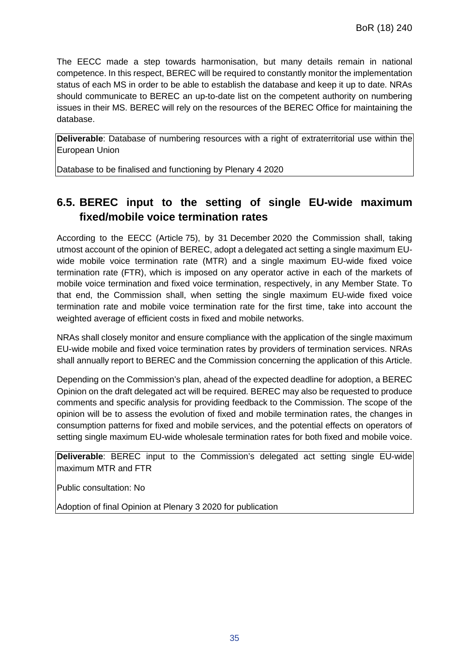The EECC made a step towards harmonisation, but many details remain in national competence. In this respect, BEREC will be required to constantly monitor the implementation status of each MS in order to be able to establish the database and keep it up to date. NRAs should communicate to BEREC an up-to-date list on the competent authority on numbering issues in their MS. BEREC will rely on the resources of the BEREC Office for maintaining the database.

**Deliverable**: Database of numbering resources with a right of extraterritorial use within the European Union

Database to be finalised and functioning by Plenary 4 2020

## **6.5. BEREC input to the setting of single EU-wide maximum fixed/mobile voice termination rates**

According to the EECC (Article 75), by 31 December 2020 the Commission shall, taking utmost account of the opinion of BEREC, adopt a delegated act setting a single maximum EUwide mobile voice termination rate (MTR) and a single maximum EU-wide fixed voice termination rate (FTR), which is imposed on any operator active in each of the markets of mobile voice termination and fixed voice termination, respectively, in any Member State. To that end, the Commission shall, when setting the single maximum EU-wide fixed voice termination rate and mobile voice termination rate for the first time, take into account the weighted average of efficient costs in fixed and mobile networks.

NRAs shall closely monitor and ensure compliance with the application of the single maximum EU-wide mobile and fixed voice termination rates by providers of termination services. NRAs shall annually report to BEREC and the Commission concerning the application of this Article.

Depending on the Commission's plan, ahead of the expected deadline for adoption, a BEREC Opinion on the draft delegated act will be required. BEREC may also be requested to produce comments and specific analysis for providing feedback to the Commission. The scope of the opinion will be to assess the evolution of fixed and mobile termination rates, the changes in consumption patterns for fixed and mobile services, and the potential effects on operators of setting single maximum EU-wide wholesale termination rates for both fixed and mobile voice.

**Deliverable**: BEREC input to the Commission's delegated act setting single EU-wide maximum MTR and FTR

Public consultation: No

Adoption of final Opinion at Plenary 3 2020 for publication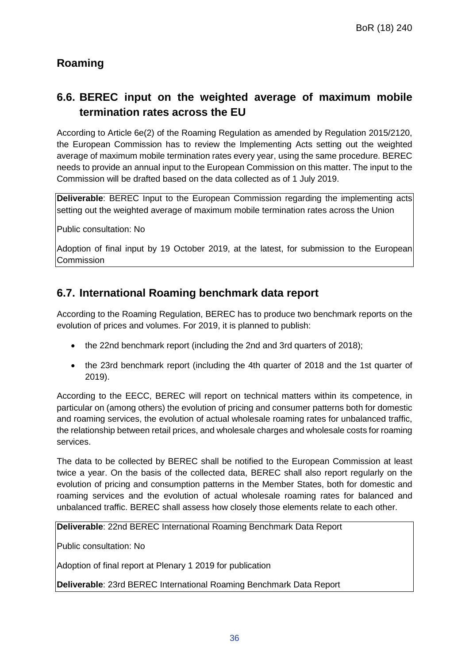## **Roaming**

## **6.6. BEREC input on the weighted average of maximum mobile termination rates across the EU**

According to Article 6e(2) of the Roaming Regulation as amended by Regulation 2015/2120, the European Commission has to review the Implementing Acts setting out the weighted average of maximum mobile termination rates every year, using the same procedure. BEREC needs to provide an annual input to the European Commission on this matter. The input to the Commission will be drafted based on the data collected as of 1 July 2019.

**Deliverable**: BEREC Input to the European Commission regarding the implementing acts setting out the weighted average of maximum mobile termination rates across the Union

Public consultation: No

Adoption of final input by 19 October 2019, at the latest, for submission to the European **Commission** 

### **6.7. International Roaming benchmark data report**

According to the Roaming Regulation, BEREC has to produce two benchmark reports on the evolution of prices and volumes. For 2019, it is planned to publish:

- the 22nd benchmark report (including the 2nd and 3rd quarters of 2018);
- the 23rd benchmark report (including the 4th quarter of 2018 and the 1st quarter of 2019).

According to the EECC, BEREC will report on technical matters within its competence, in particular on (among others) the evolution of pricing and consumer patterns both for domestic and roaming services, the evolution of actual wholesale roaming rates for unbalanced traffic, the relationship between retail prices, and wholesale charges and wholesale costs for roaming services.

The data to be collected by BEREC shall be notified to the European Commission at least twice a year. On the basis of the collected data, BEREC shall also report regularly on the evolution of pricing and consumption patterns in the Member States, both for domestic and roaming services and the evolution of actual wholesale roaming rates for balanced and unbalanced traffic. BEREC shall assess how closely those elements relate to each other.

**Deliverable**: 22nd BEREC International Roaming Benchmark Data Report

Public consultation: No

Adoption of final report at Plenary 1 2019 for publication

**Deliverable**: 23rd BEREC International Roaming Benchmark Data Report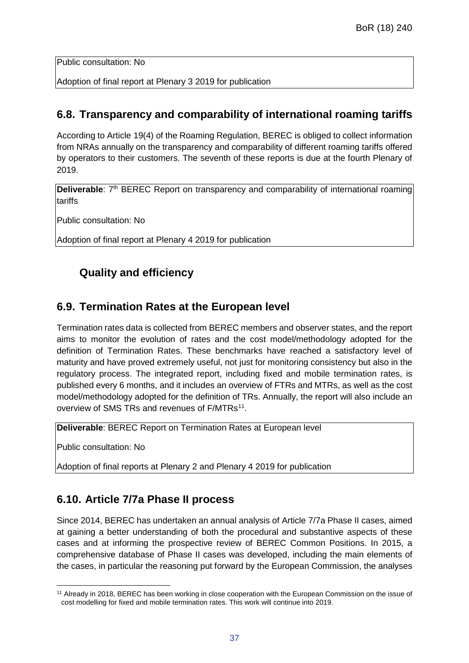Public consultation: No

Adoption of final report at Plenary 3 2019 for publication

#### **6.8. Transparency and comparability of international roaming tariffs**

According to Article 19(4) of the Roaming Regulation, BEREC is obliged to collect information from NRAs annually on the transparency and comparability of different roaming tariffs offered by operators to their customers. The seventh of these reports is due at the fourth Plenary of 2019.

**Deliverable**: 7<sup>th</sup> BEREC Report on transparency and comparability of international roaming tariffs

Public consultation: No

Adoption of final report at Plenary 4 2019 for publication

## **Quality and efficiency**

#### **6.9. Termination Rates at the European level**

Termination rates data is collected from BEREC members and observer states, and the report aims to monitor the evolution of rates and the cost model/methodology adopted for the definition of Termination Rates. These benchmarks have reached a satisfactory level of maturity and have proved extremely useful, not just for monitoring consistency but also in the regulatory process. The integrated report, including fixed and mobile termination rates, is published every 6 months, and it includes an overview of FTRs and MTRs, as well as the cost model/methodology adopted for the definition of TRs. Annually, the report will also include an overview of SMS TRs and revenues of F/MTRs<sup>[11](#page-37-0)</sup>.

**Deliverable**: BEREC Report on Termination Rates at European level

Public consultation: No

Adoption of final reports at Plenary 2 and Plenary 4 2019 for publication

### **6.10. Article 7/7a Phase II process**

Since 2014, BEREC has undertaken an annual analysis of Article 7/7a Phase II cases, aimed at gaining a better understanding of both the procedural and substantive aspects of these cases and at informing the prospective review of BEREC Common Positions. In 2015, a comprehensive database of Phase II cases was developed, including the main elements of the cases, in particular the reasoning put forward by the European Commission, the analyses

<span id="page-37-0"></span> $\overline{a}$ <sup>11</sup> Already in 2018, BEREC has been working in close cooperation with the European Commission on the issue of cost modelling for fixed and mobile termination rates. This work will continue into 2019.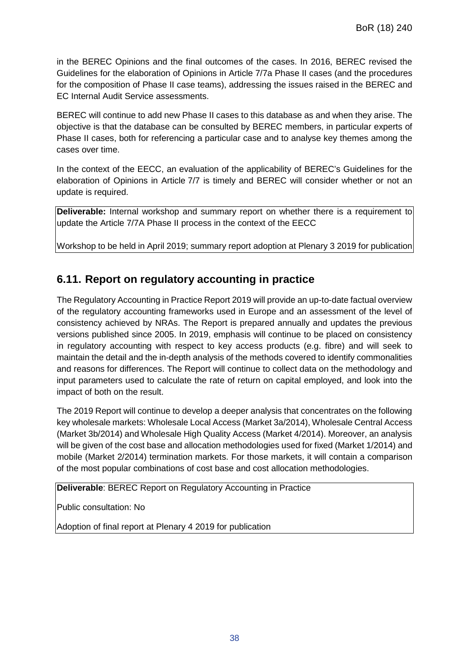in the BEREC Opinions and the final outcomes of the cases. In 2016, BEREC revised the Guidelines for the elaboration of Opinions in Article 7/7a Phase II cases (and the procedures for the composition of Phase II case teams), addressing the issues raised in the BEREC and EC Internal Audit Service assessments.

BEREC will continue to add new Phase II cases to this database as and when they arise. The objective is that the database can be consulted by BEREC members, in particular experts of Phase II cases, both for referencing a particular case and to analyse key themes among the cases over time.

In the context of the EECC, an evaluation of the applicability of BEREC's Guidelines for the elaboration of Opinions in Article 7/7 is timely and BEREC will consider whether or not an update is required.

**Deliverable:** Internal workshop and summary report on whether there is a requirement to update the Article 7/7A Phase II process in the context of the EECC

Workshop to be held in April 2019; summary report adoption at Plenary 3 2019 for publication

## **6.11. Report on regulatory accounting in practice**

The Regulatory Accounting in Practice Report 2019 will provide an up-to-date factual overview of the regulatory accounting frameworks used in Europe and an assessment of the level of consistency achieved by NRAs. The Report is prepared annually and updates the previous versions published since 2005. In 2019, emphasis will continue to be placed on consistency in regulatory accounting with respect to key access products (e.g. fibre) and will seek to maintain the detail and the in-depth analysis of the methods covered to identify commonalities and reasons for differences. The Report will continue to collect data on the methodology and input parameters used to calculate the rate of return on capital employed, and look into the impact of both on the result.

The 2019 Report will continue to develop a deeper analysis that concentrates on the following key wholesale markets: Wholesale Local Access (Market 3a/2014), Wholesale Central Access (Market 3b/2014) and Wholesale High Quality Access (Market 4/2014). Moreover, an analysis will be given of the cost base and allocation methodologies used for fixed (Market 1/2014) and mobile (Market 2/2014) termination markets. For those markets, it will contain a comparison of the most popular combinations of cost base and cost allocation methodologies.

**Deliverable**: BEREC Report on Regulatory Accounting in Practice

Public consultation: No

Adoption of final report at Plenary 4 2019 for publication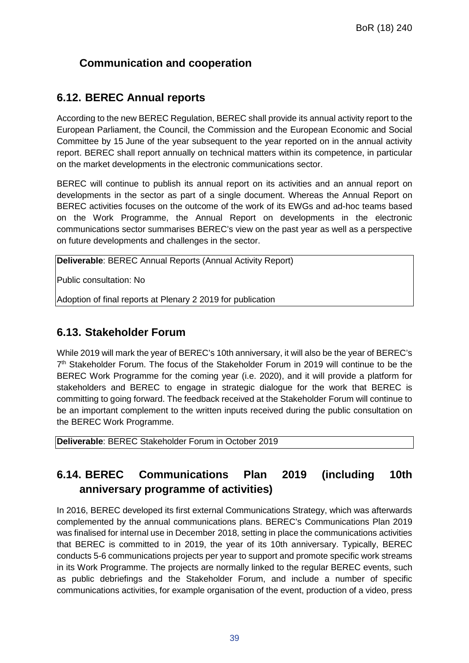## **Communication and cooperation**

#### **6.12. BEREC Annual reports**

According to the new BEREC Regulation, BEREC shall provide its annual activity report to the European Parliament, the Council, the Commission and the European Economic and Social Committee by 15 June of the year subsequent to the year reported on in the annual activity report. BEREC shall report annually on technical matters within its competence, in particular on the market developments in the electronic communications sector.

BEREC will continue to publish its annual report on its activities and an annual report on developments in the sector as part of a single document. Whereas the Annual Report on BEREC activities focuses on the outcome of the work of its EWGs and ad-hoc teams based on the Work Programme, the Annual Report on developments in the electronic communications sector summarises BEREC's view on the past year as well as a perspective on future developments and challenges in the sector.

**Deliverable**: BEREC Annual Reports (Annual Activity Report)

Public consultation: No

Adoption of final reports at Plenary 2 2019 for publication

#### **6.13. Stakeholder Forum**

While 2019 will mark the year of BEREC's 10th anniversary, it will also be the year of BEREC's  $7<sup>th</sup>$  Stakeholder Forum. The focus of the Stakeholder Forum in 2019 will continue to be the BEREC Work Programme for the coming year (i.e. 2020), and it will provide a platform for stakeholders and BEREC to engage in strategic dialogue for the work that BEREC is committing to going forward. The feedback received at the Stakeholder Forum will continue to be an important complement to the written inputs received during the public consultation on the BEREC Work Programme.

**Deliverable**: BEREC Stakeholder Forum in October 2019

## **6.14. BEREC Communications Plan 2019 (including 10th anniversary programme of activities)**

In 2016, BEREC developed its first external Communications Strategy, which was afterwards complemented by the annual communications plans. BEREC's Communications Plan 2019 was finalised for internal use in December 2018, setting in place the communications activities that BEREC is committed to in 2019, the year of its 10th anniversary. Typically, BEREC conducts 5-6 communications projects per year to support and promote specific work streams in its Work Programme. The projects are normally linked to the regular BEREC events, such as public debriefings and the Stakeholder Forum, and include a number of specific communications activities, for example organisation of the event, production of a video, press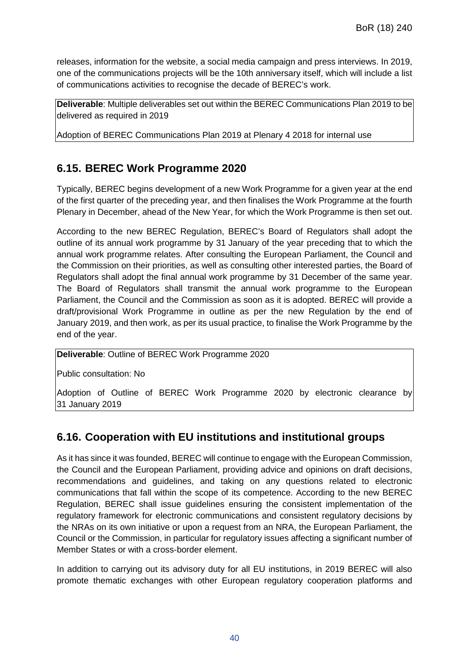releases, information for the website, a social media campaign and press interviews. In 2019, one of the communications projects will be the 10th anniversary itself, which will include a list of communications activities to recognise the decade of BEREC's work.

**Deliverable**: Multiple deliverables set out within the BEREC Communications Plan 2019 to be delivered as required in 2019

Adoption of BEREC Communications Plan 2019 at Plenary 4 2018 for internal use

## **6.15. BEREC Work Programme 2020**

Typically, BEREC begins development of a new Work Programme for a given year at the end of the first quarter of the preceding year, and then finalises the Work Programme at the fourth Plenary in December, ahead of the New Year, for which the Work Programme is then set out.

According to the new BEREC Regulation, BEREC's Board of Regulators shall adopt the outline of its annual work programme by 31 January of the year preceding that to which the annual work programme relates. After consulting the European Parliament, the Council and the Commission on their priorities, as well as consulting other interested parties, the Board of Regulators shall adopt the final annual work programme by 31 December of the same year. The Board of Regulators shall transmit the annual work programme to the European Parliament, the Council and the Commission as soon as it is adopted. BEREC will provide a draft/provisional Work Programme in outline as per the new Regulation by the end of January 2019, and then work, as per its usual practice, to finalise the Work Programme by the end of the year.

**Deliverable**: Outline of BEREC Work Programme 2020

Public consultation: No

Adoption of Outline of BEREC Work Programme 2020 by electronic clearance by 31 January 2019

### **6.16. Cooperation with EU institutions and institutional groups**

As it has since it was founded, BEREC will continue to engage with the European Commission, the Council and the European Parliament, providing advice and opinions on draft decisions, recommendations and guidelines, and taking on any questions related to electronic communications that fall within the scope of its competence. According to the new BEREC Regulation, BEREC shall issue guidelines ensuring the consistent implementation of the regulatory framework for electronic communications and consistent regulatory decisions by the NRAs on its own initiative or upon a request from an NRA, the European Parliament, the Council or the Commission, in particular for regulatory issues affecting a significant number of Member States or with a cross-border element.

In addition to carrying out its advisory duty for all EU institutions, in 2019 BEREC will also promote thematic exchanges with other European regulatory cooperation platforms and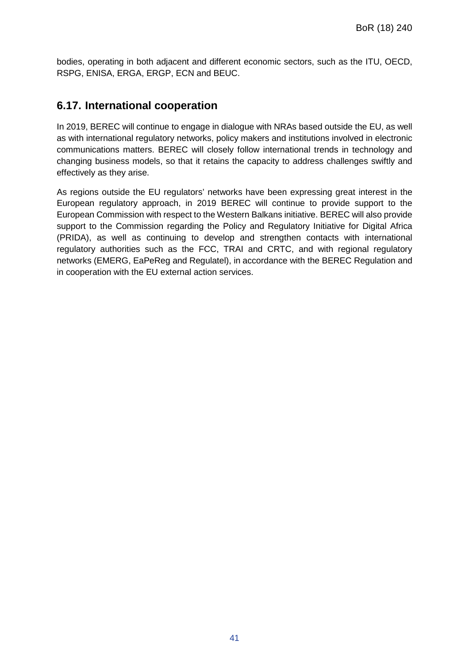bodies, operating in both adjacent and different economic sectors, such as the ITU, OECD, RSPG, ENISA, ERGA, ERGP, ECN and BEUC.

#### **6.17. International cooperation**

In 2019, BEREC will continue to engage in dialogue with NRAs based outside the EU, as well as with international regulatory networks, policy makers and institutions involved in electronic communications matters. BEREC will closely follow international trends in technology and changing business models, so that it retains the capacity to address challenges swiftly and effectively as they arise.

As regions outside the EU regulators' networks have been expressing great interest in the European regulatory approach, in 2019 BEREC will continue to provide support to the European Commission with respect to the Western Balkans initiative. BEREC will also provide support to the Commission regarding the Policy and Regulatory Initiative for Digital Africa (PRIDA), as well as continuing to develop and strengthen contacts with international regulatory authorities such as the FCC, TRAI and CRTC, and with regional regulatory networks (EMERG, EaPeReg and Regulatel), in accordance with the BEREC Regulation and in cooperation with the EU external action services.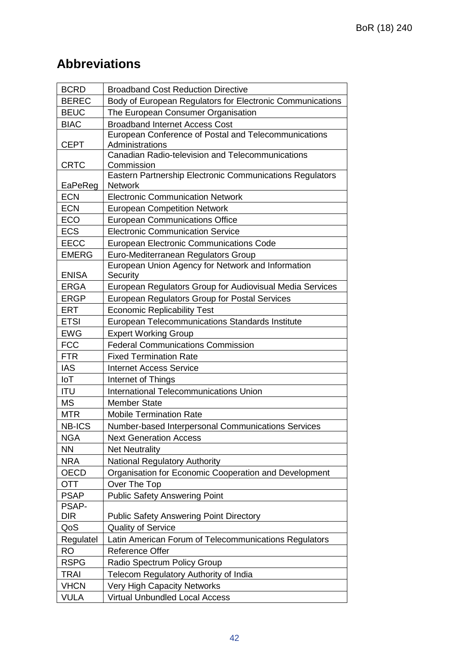# **Abbreviations**

| <b>BCRD</b>                                         | <b>Broadband Cost Reduction Directive</b>                              |  |  |
|-----------------------------------------------------|------------------------------------------------------------------------|--|--|
| <b>BEREC</b>                                        | Body of European Regulators for Electronic Communications              |  |  |
| <b>BEUC</b>                                         | The European Consumer Organisation                                     |  |  |
| <b>BIAC</b>                                         | <b>Broadband Internet Access Cost</b>                                  |  |  |
|                                                     | European Conference of Postal and Telecommunications                   |  |  |
| <b>CEPT</b>                                         | Administrations                                                        |  |  |
|                                                     | Canadian Radio-television and Telecommunications                       |  |  |
| <b>CRTC</b>                                         | Commission<br>Eastern Partnership Electronic Communications Regulators |  |  |
| EaPeReg                                             | <b>Network</b>                                                         |  |  |
| <b>ECN</b>                                          | <b>Electronic Communication Network</b>                                |  |  |
| <b>ECN</b>                                          | <b>European Competition Network</b>                                    |  |  |
| ECO                                                 | <b>European Communications Office</b>                                  |  |  |
| <b>ECS</b>                                          | <b>Electronic Communication Service</b>                                |  |  |
| <b>EECC</b>                                         | <b>European Electronic Communications Code</b>                         |  |  |
| <b>EMERG</b>                                        | Euro-Mediterranean Regulators Group                                    |  |  |
|                                                     | European Union Agency for Network and Information                      |  |  |
| <b>ENISA</b>                                        | Security                                                               |  |  |
| <b>ERGA</b>                                         | European Regulators Group for Audiovisual Media Services               |  |  |
| <b>ERGP</b>                                         | European Regulators Group for Postal Services                          |  |  |
| <b>ERT</b>                                          | <b>Economic Replicability Test</b>                                     |  |  |
| <b>ETSI</b>                                         | European Telecommunications Standards Institute                        |  |  |
| <b>EWG</b>                                          | <b>Expert Working Group</b>                                            |  |  |
| <b>FCC</b>                                          | <b>Federal Communications Commission</b>                               |  |  |
| <b>FTR</b>                                          | <b>Fixed Termination Rate</b>                                          |  |  |
| <b>IAS</b>                                          | <b>Internet Access Service</b>                                         |  |  |
| IoT                                                 | Internet of Things                                                     |  |  |
| <b>ITU</b>                                          | International Telecommunications Union                                 |  |  |
| <b>MS</b>                                           | <b>Member State</b>                                                    |  |  |
| <b>MTR</b>                                          | <b>Mobile Termination Rate</b>                                         |  |  |
| <b>NB-ICS</b>                                       | Number-based Interpersonal Communications Services                     |  |  |
| <b>NGA</b>                                          | <b>Next Generation Access</b>                                          |  |  |
| <b>NN</b>                                           | <b>Net Neutrality</b>                                                  |  |  |
| <b>NRA</b>                                          | <b>National Regulatory Authority</b>                                   |  |  |
| <b>OECD</b>                                         | Organisation for Economic Cooperation and Development                  |  |  |
| <b>OTT</b>                                          | Over The Top                                                           |  |  |
| <b>PSAP</b><br><b>Public Safety Answering Point</b> |                                                                        |  |  |
| PSAP-                                               |                                                                        |  |  |
| <b>DIR</b>                                          | <b>Public Safety Answering Point Directory</b>                         |  |  |
| QoS                                                 | <b>Quality of Service</b>                                              |  |  |
| Regulatel                                           | Latin American Forum of Telecommunications Regulators                  |  |  |
| <b>RO</b>                                           | Reference Offer                                                        |  |  |
| <b>RSPG</b>                                         | Radio Spectrum Policy Group                                            |  |  |
| <b>TRAI</b>                                         | Telecom Regulatory Authority of India                                  |  |  |
| <b>VHCN</b>                                         | <b>Very High Capacity Networks</b>                                     |  |  |
| <b>VULA</b>                                         | <b>Virtual Unbundled Local Access</b>                                  |  |  |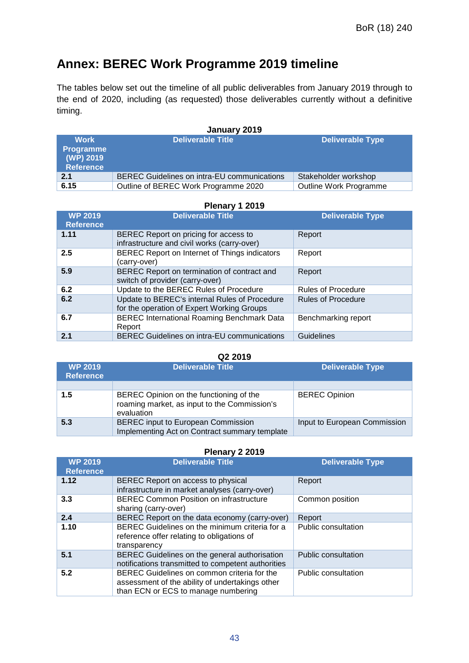# **Annex: BEREC Work Programme 2019 timeline**

The tables below set out the timeline of all public deliverables from January 2019 through to the end of 2020, including (as requested) those deliverables currently without a definitive timing.

#### **January 2019**

| <b>Work</b><br>Programme<br>(WP) 2019<br><b>Reference</b> | <b>Deliverable Title</b>                    | <b>Deliverable Type</b> |
|-----------------------------------------------------------|---------------------------------------------|-------------------------|
| 2.1                                                       | BEREC Guidelines on intra-EU communications | Stakeholder workshop    |
| 6.15                                                      | Outline of BEREC Work Programme 2020        | Outline Work Programme  |

#### **Plenary 1 2019**

| <b>WP 2019</b><br><b>Reference</b> | <b>Deliverable Title</b>                                                                    | <b>Deliverable Type</b>   |
|------------------------------------|---------------------------------------------------------------------------------------------|---------------------------|
| 1.11                               | BEREC Report on pricing for access to<br>infrastructure and civil works (carry-over)        | Report                    |
| $2.5\phantom{0}$                   | BEREC Report on Internet of Things indicators<br>(carry-over)                               | Report                    |
| 5.9                                | BEREC Report on termination of contract and<br>switch of provider (carry-over)              | Report                    |
| 6.2                                | Update to the BEREC Rules of Procedure                                                      | <b>Rules of Procedure</b> |
| 6.2                                | Update to BEREC's internal Rules of Procedure<br>for the operation of Expert Working Groups | <b>Rules of Procedure</b> |
| 6.7                                | <b>BEREC International Roaming Benchmark Data</b><br>Report                                 | Benchmarking report       |
| 2.1                                | <b>BEREC Guidelines on intra-EU communications</b>                                          | Guidelines                |

#### **Q2 2019**

| <b>WP 2019</b><br><b>Reference</b> | <b>Deliverable Title</b>                                                                              | <b>Deliverable Type</b>      |
|------------------------------------|-------------------------------------------------------------------------------------------------------|------------------------------|
|                                    |                                                                                                       |                              |
| 1.5                                | BEREC Opinion on the functioning of the<br>roaming market, as input to the Commission's<br>evaluation | <b>BEREC Opinion</b>         |
| 5.3                                | <b>BEREC</b> input to European Commission<br>Implementing Act on Contract summary template            | Input to European Commission |

#### **Plenary 2 2019**

| <b>WP 2019</b><br><b>Reference</b> | <b>Deliverable Title</b>                                                                                                              | <b>Deliverable Type</b> |
|------------------------------------|---------------------------------------------------------------------------------------------------------------------------------------|-------------------------|
| 1.12                               | BEREC Report on access to physical<br>infrastructure in market analyses (carry-over)                                                  | Report                  |
| 3.3                                | <b>BEREC Common Position on infrastructure</b><br>sharing (carry-over)                                                                | Common position         |
| 2.4                                | BEREC Report on the data economy (carry-over)                                                                                         | Report                  |
| 1.10                               | BEREC Guidelines on the minimum criteria for a<br>reference offer relating to obligations of<br>transparency                          | Public consultation     |
| 5.1                                | BEREC Guidelines on the general authorisation<br>notifications transmitted to competent authorities                                   | Public consultation     |
| 5.2                                | BEREC Guidelines on common criteria for the<br>assessment of the ability of undertakings other<br>than ECN or ECS to manage numbering | Public consultation     |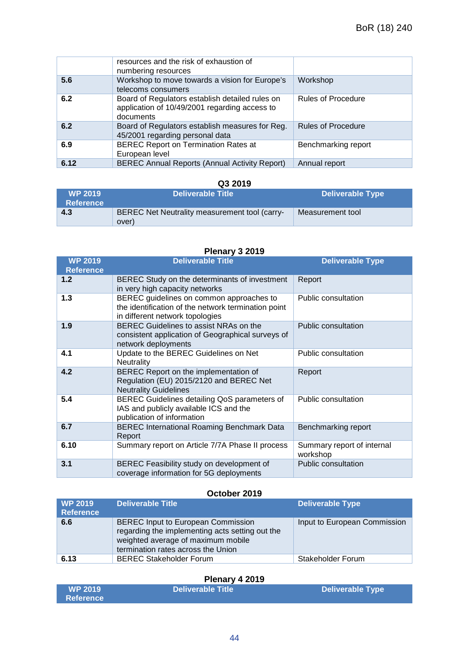|      | resources and the risk of exhaustion of<br>numbering resources                                                |                           |
|------|---------------------------------------------------------------------------------------------------------------|---------------------------|
| 5.6  | Workshop to move towards a vision for Europe's<br>telecoms consumers                                          | Workshop                  |
| 6.2  | Board of Regulators establish detailed rules on<br>application of 10/49/2001 regarding access to<br>documents | <b>Rules of Procedure</b> |
| 6.2  | Board of Regulators establish measures for Reg.<br>45/2001 regarding personal data                            | <b>Rules of Procedure</b> |
| 6.9  | <b>BEREC Report on Termination Rates at</b><br>European level                                                 | Benchmarking report       |
| 6.12 | <b>BEREC Annual Reports (Annual Activity Report)</b>                                                          | Annual report             |

#### **Q3 2019**

| <b>WP 2019</b><br><b>Reference</b> | <b>Deliverable Title</b>                               | Deliverable Type |
|------------------------------------|--------------------------------------------------------|------------------|
| 4.3                                | BEREC Net Neutrality measurement tool (carry-<br>over) | Measurement tool |

#### **Plenary 3 2019**

| <b>WP 2019</b>   | <b>Deliverable Title</b>                                                                                                           | <b>Deliverable Type</b>                |
|------------------|------------------------------------------------------------------------------------------------------------------------------------|----------------------------------------|
| <b>Reference</b> |                                                                                                                                    |                                        |
| 1.2              | BEREC Study on the determinants of investment<br>in very high capacity networks                                                    | Report                                 |
| 1.3              | BEREC guidelines on common approaches to<br>the identification of the network termination point<br>in different network topologies | Public consultation                    |
| 1.9              | BEREC Guidelines to assist NRAs on the<br>consistent application of Geographical surveys of<br>network deployments                 | Public consultation                    |
| 4.1              | Update to the BEREC Guidelines on Net<br><b>Neutrality</b>                                                                         | Public consultation                    |
| 4.2              | BEREC Report on the implementation of<br>Regulation (EU) 2015/2120 and BEREC Net<br><b>Neutrality Guidelines</b>                   | Report                                 |
| 5.4              | BEREC Guidelines detailing QoS parameters of<br>IAS and publicly available ICS and the<br>publication of information               | Public consultation                    |
| 6.7              | <b>BEREC International Roaming Benchmark Data</b><br>Report                                                                        | Benchmarking report                    |
| 6.10             | Summary report on Article 7/7A Phase II process                                                                                    | Summary report of internal<br>workshop |
| 3.1              | BEREC Feasibility study on development of<br>coverage information for 5G deployments                                               | Public consultation                    |

#### **October 2019**

| <b>WP 2019</b><br><b>Reference</b> | Deliverable Title                                                                                                                                                        | <b>Deliverable Type</b>      |
|------------------------------------|--------------------------------------------------------------------------------------------------------------------------------------------------------------------------|------------------------------|
| 6.6                                | <b>BEREC Input to European Commission</b><br>regarding the implementing acts setting out the<br>weighted average of maximum mobile<br>termination rates across the Union | Input to European Commission |
| 6.13                               | <b>BEREC Stakeholder Forum</b>                                                                                                                                           | Stakeholder Forum            |

#### **Plenary 4 2019**

| <b>WP 2019</b>   | <b>NDeliverable Title \</b> | <b>Deliverable Type</b> |
|------------------|-----------------------------|-------------------------|
| <b>Reference</b> |                             |                         |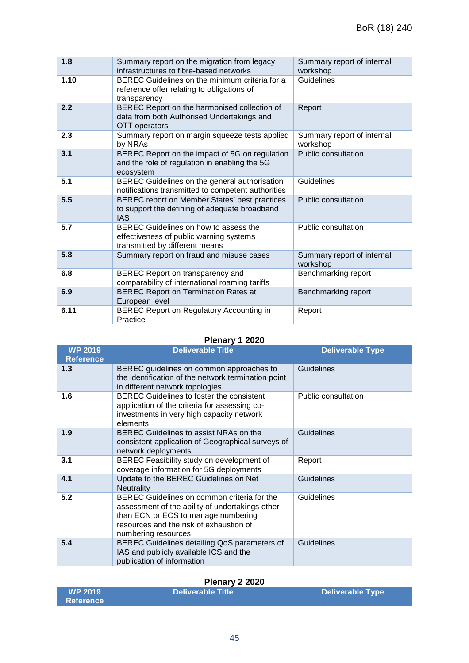| 1.8  | Summary report on the migration from legacy<br>infrastructures to fibre-based networks                             | Summary report of internal<br>workshop |
|------|--------------------------------------------------------------------------------------------------------------------|----------------------------------------|
| 1.10 | BEREC Guidelines on the minimum criteria for a<br>reference offer relating to obligations of<br>transparency       | Guidelines                             |
| 2.2  | BEREC Report on the harmonised collection of<br>data from both Authorised Undertakings and<br>OTT operators        | Report                                 |
| 2.3  | Summary report on margin squeeze tests applied<br>by NRAs                                                          | Summary report of internal<br>workshop |
| 3.1  | BEREC Report on the impact of 5G on regulation<br>and the role of regulation in enabling the 5G<br>ecosystem       | <b>Public consultation</b>             |
| 5.1  | BEREC Guidelines on the general authorisation<br>notifications transmitted to competent authorities                | Guidelines                             |
| 5.5  | BEREC report on Member States' best practices<br>to support the defining of adequate broadband<br><b>IAS</b>       | <b>Public consultation</b>             |
| 5.7  | BEREC Guidelines on how to assess the<br>effectiveness of public warning systems<br>transmitted by different means | Public consultation                    |
| 5.8  | Summary report on fraud and misuse cases                                                                           | Summary report of internal<br>workshop |
| 6.8  | BEREC Report on transparency and<br>comparability of international roaming tariffs                                 | Benchmarking report                    |
| 6.9  | <b>BEREC Report on Termination Rates at</b><br>European level                                                      | Benchmarking report                    |
| 6.11 | <b>BEREC Report on Regulatory Accounting in</b><br>Practice                                                        | Report                                 |

#### **Plenary 1 2020**

| WP 2019<br><b>Reference</b> | <b>Deliverable Title</b>                                                                                                                                                                                | <b>Deliverable Type</b> |
|-----------------------------|---------------------------------------------------------------------------------------------------------------------------------------------------------------------------------------------------------|-------------------------|
| 1.3                         | BEREC guidelines on common approaches to<br>the identification of the network termination point<br>in different network topologies                                                                      | Guidelines              |
| 1.6                         | <b>BEREC Guidelines to foster the consistent</b><br>application of the criteria for assessing co-<br>investments in very high capacity network<br>elements                                              | Public consultation     |
| 1.9                         | BEREC Guidelines to assist NRAs on the<br>consistent application of Geographical surveys of<br>network deployments                                                                                      | <b>Guidelines</b>       |
| 3.1                         | BEREC Feasibility study on development of<br>coverage information for 5G deployments                                                                                                                    | Report                  |
| 4.1                         | Update to the BEREC Guidelines on Net<br><b>Neutrality</b>                                                                                                                                              | <b>Guidelines</b>       |
| 5.2                         | BEREC Guidelines on common criteria for the<br>assessment of the ability of undertakings other<br>than ECN or ECS to manage numbering<br>resources and the risk of exhaustion of<br>numbering resources | Guidelines              |
| 5.4                         | BEREC Guidelines detailing QoS parameters of<br>IAS and publicly available ICS and the<br>publication of information                                                                                    | Guidelines              |

#### **Plenary 2 2020**

| <b>WP 2019</b> | <b>Deliverable Title</b> | Deliverable Type |
|----------------|--------------------------|------------------|
| ⊾Reference \   |                          |                  |

I